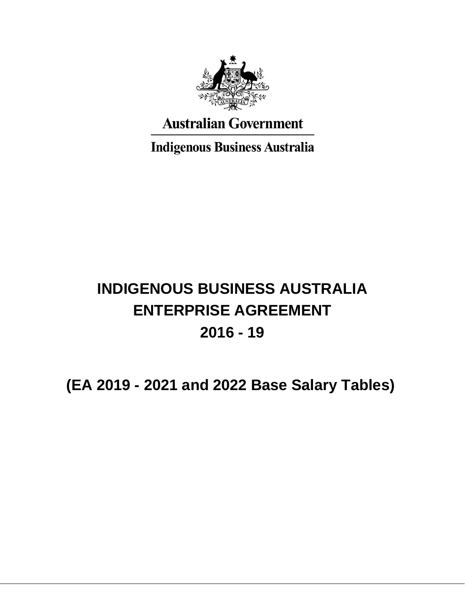

**Australian Government** 

**Indigenous Business Australia** 

# **INDIGENOUS BUSINESS AUSTRALIA ENTERPRISE AGREEMENT 2016 - 19**

## **(EA 2019 - 2021 and 2022 Base Salary Tables)**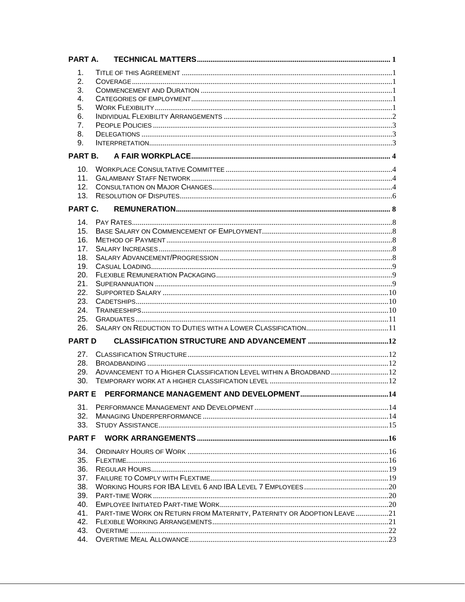| PART A        |                                                                         |  |
|---------------|-------------------------------------------------------------------------|--|
| 1.            |                                                                         |  |
| 2.            |                                                                         |  |
| 3.            |                                                                         |  |
| 4.            |                                                                         |  |
| 5.            |                                                                         |  |
| 6.            |                                                                         |  |
| 7.            |                                                                         |  |
| 8.            |                                                                         |  |
| 9.            |                                                                         |  |
| PART B.       |                                                                         |  |
| 10.           |                                                                         |  |
| 11.           |                                                                         |  |
| 12.           |                                                                         |  |
| 13.           |                                                                         |  |
| PART C.       |                                                                         |  |
|               |                                                                         |  |
| 14.           |                                                                         |  |
| 15.           |                                                                         |  |
| 16.           |                                                                         |  |
| 17.           |                                                                         |  |
| 18.           |                                                                         |  |
| 19.           |                                                                         |  |
| 20.           |                                                                         |  |
| 21.           |                                                                         |  |
| 22.           |                                                                         |  |
| 23.           |                                                                         |  |
| 24.           |                                                                         |  |
| 25.           |                                                                         |  |
| 26.           |                                                                         |  |
| <b>PART D</b> |                                                                         |  |
| 27.           |                                                                         |  |
| 28.           |                                                                         |  |
| 29.           | ADVANCEMENT TO A HIGHER CLASSIFICATION LEVEL WITHIN A BROADBAND  12     |  |
| 30.           |                                                                         |  |
|               |                                                                         |  |
| 31.           |                                                                         |  |
| 32.           |                                                                         |  |
| 33.           |                                                                         |  |
|               |                                                                         |  |
| 34.           |                                                                         |  |
| 35.           |                                                                         |  |
| 36.           |                                                                         |  |
| 37.           |                                                                         |  |
| 38.           |                                                                         |  |
| 39.           |                                                                         |  |
| 40.           |                                                                         |  |
| 41.           | PART-TIME WORK ON RETURN FROM MATERNITY, PATERNITY OR ADOPTION LEAVE 21 |  |
| 42.           |                                                                         |  |
| 43.           |                                                                         |  |
|               |                                                                         |  |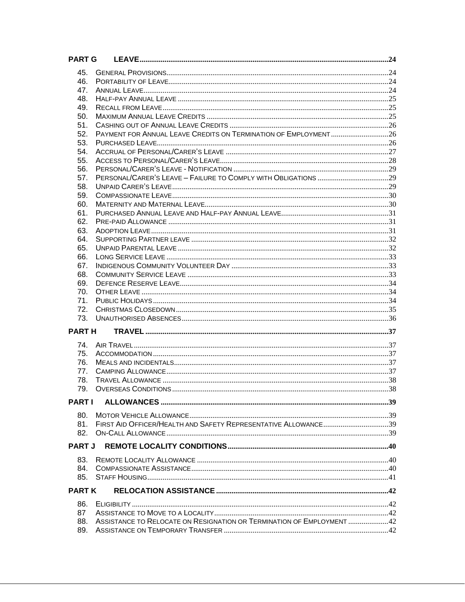| <b>PART G</b> |                                                                        |  |
|---------------|------------------------------------------------------------------------|--|
| 45.           |                                                                        |  |
| 46.           |                                                                        |  |
| 47.           |                                                                        |  |
| 48.           |                                                                        |  |
| 49.           |                                                                        |  |
| 50.           |                                                                        |  |
| 51.           |                                                                        |  |
| 52.           | PAYMENT FOR ANNUAL LEAVE CREDITS ON TERMINATION OF EMPLOYMENT 26       |  |
| 53.           |                                                                        |  |
| 54.           |                                                                        |  |
| 55.           |                                                                        |  |
| 56.           |                                                                        |  |
| 57.           |                                                                        |  |
| 58.           |                                                                        |  |
| 59.           |                                                                        |  |
| 60.           |                                                                        |  |
| 61.           |                                                                        |  |
| 62.           |                                                                        |  |
| 63.           |                                                                        |  |
| 64.           |                                                                        |  |
| 65.           |                                                                        |  |
| 66.           |                                                                        |  |
| 67.<br>68.    |                                                                        |  |
| 69.           |                                                                        |  |
| 70.           |                                                                        |  |
| 71.           |                                                                        |  |
| 72.           |                                                                        |  |
| 73.           |                                                                        |  |
|               |                                                                        |  |
| <b>PARTH</b>  |                                                                        |  |
| 74.           |                                                                        |  |
| 75.           |                                                                        |  |
| 76.           |                                                                        |  |
| 77.           |                                                                        |  |
| 78.           |                                                                        |  |
| 79.           |                                                                        |  |
| <b>PARTI</b>  |                                                                        |  |
|               |                                                                        |  |
| 80.           |                                                                        |  |
| 81.           |                                                                        |  |
| 82.           |                                                                        |  |
| <b>PART J</b> |                                                                        |  |
|               |                                                                        |  |
| 83.           |                                                                        |  |
| 84.           |                                                                        |  |
| 85.           |                                                                        |  |
| <b>PARTK</b>  |                                                                        |  |
|               |                                                                        |  |
| 86.<br>87     |                                                                        |  |
| 88.           | ASSISTANCE TO RELOCATE ON RESIGNATION OR TERMINATION OF EMPLOYMENT  42 |  |
| 89.           |                                                                        |  |
|               |                                                                        |  |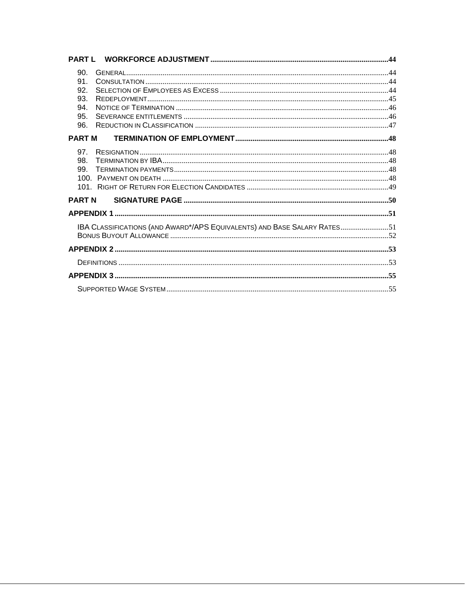| 90.<br>91.<br>92.<br>93.<br>94.<br>95.<br>96.                            |  |
|--------------------------------------------------------------------------|--|
| <b>PARTM</b>                                                             |  |
| 97.<br>98.<br>99.                                                        |  |
| <b>PART N</b>                                                            |  |
|                                                                          |  |
| IBA CLASSIFICATIONS (AND AWARD*/APS EQUIVALENTS) AND BASE SALARY RATES51 |  |
|                                                                          |  |
|                                                                          |  |
|                                                                          |  |
|                                                                          |  |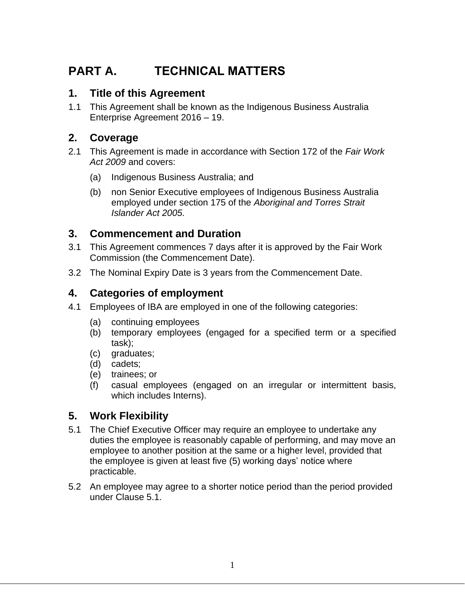## **PART A. TECHNICAL MATTERS**

## **1. Title of this Agreement**

1.1 This Agreement shall be known as the Indigenous Business Australia Enterprise Agreement 2016 – 19.

## **2. Coverage**

- 2.1 This Agreement is made in accordance with Section 172 of the *Fair Work Act 2009* and covers:
	- (a) Indigenous Business Australia; and
	- (b) non Senior Executive employees of Indigenous Business Australia employed under section 175 of the *Aboriginal and Torres Strait Islander Act 2005.*

## **3. Commencement and Duration**

- 3.1 This Agreement commences 7 days after it is approved by the Fair Work Commission (the Commencement Date).
- 3.2 The Nominal Expiry Date is 3 years from the Commencement Date.

## **4. Categories of employment**

- 4.1 Employees of IBA are employed in one of the following categories:
	- (a) continuing employees
	- (b) temporary employees (engaged for a specified term or a specified task);
	- (c) graduates;
	- (d) cadets;
	- (e) trainees; or
	- (f) casual employees (engaged on an irregular or intermittent basis, which includes Interns).

## **5. Work Flexibility**

- 5.1 The Chief Executive Officer may require an employee to undertake any duties the employee is reasonably capable of performing, and may move an employee to another position at the same or a higher level, provided that the employee is given at least five (5) working days' notice where practicable.
- 5.2 An employee may agree to a shorter notice period than the period provided under Clause 5.1.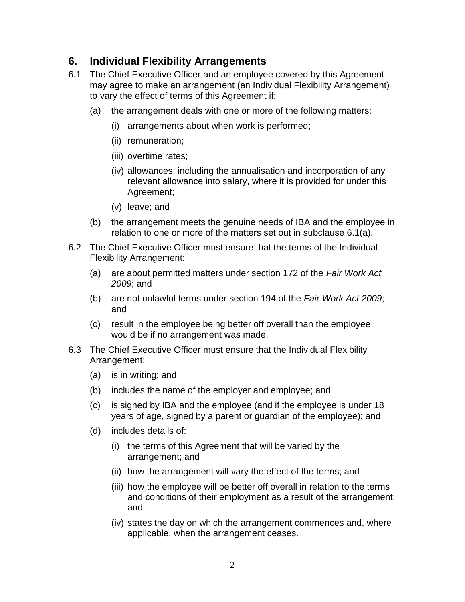#### **6. Individual Flexibility Arrangements**

- 6.1 The Chief Executive Officer and an employee covered by this Agreement may agree to make an arrangement (an Individual Flexibility Arrangement) to vary the effect of terms of this Agreement if:
	- (a) the arrangement deals with one or more of the following matters:
		- (i) arrangements about when work is performed;
		- (ii) remuneration;
		- (iii) overtime rates;
		- (iv) allowances, including the annualisation and incorporation of any relevant allowance into salary, where it is provided for under this Agreement;
		- (v) leave; and
	- (b) the arrangement meets the genuine needs of IBA and the employee in relation to one or more of the matters set out in subclause 6.1(a).
- 6.2 The Chief Executive Officer must ensure that the terms of the Individual Flexibility Arrangement:
	- (a) are about permitted matters under section 172 of the *Fair Work Act 2009*; and
	- (b) are not unlawful terms under section 194 of the *Fair Work Act 2009*; and
	- (c) result in the employee being better off overall than the employee would be if no arrangement was made.
- 6.3 The Chief Executive Officer must ensure that the Individual Flexibility Arrangement:
	- (a) is in writing; and
	- (b) includes the name of the employer and employee; and
	- (c) is signed by IBA and the employee (and if the employee is under 18 years of age, signed by a parent or guardian of the employee); and
	- (d) includes details of:
		- (i) the terms of this Agreement that will be varied by the arrangement; and
		- (ii) how the arrangement will vary the effect of the terms; and
		- (iii) how the employee will be better off overall in relation to the terms and conditions of their employment as a result of the arrangement; and
		- (iv) states the day on which the arrangement commences and, where applicable, when the arrangement ceases.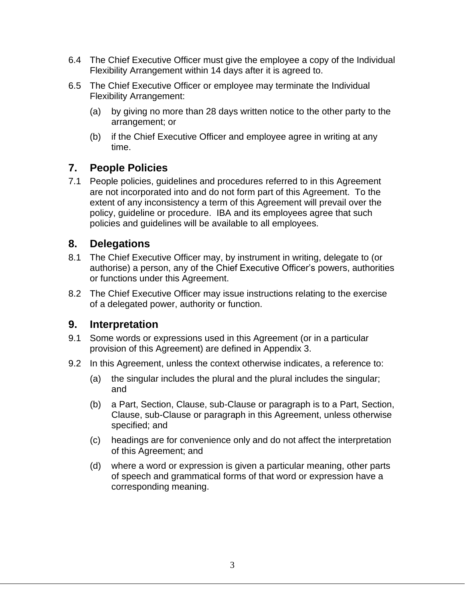- 6.4 The Chief Executive Officer must give the employee a copy of the Individual Flexibility Arrangement within 14 days after it is agreed to.
- 6.5 The Chief Executive Officer or employee may terminate the Individual Flexibility Arrangement:
	- (a) by giving no more than 28 days written notice to the other party to the arrangement; or
	- (b) if the Chief Executive Officer and employee agree in writing at any time.

## **7. People Policies**

7.1 People policies, guidelines and procedures referred to in this Agreement are not incorporated into and do not form part of this Agreement. To the extent of any inconsistency a term of this Agreement will prevail over the policy, guideline or procedure. IBA and its employees agree that such policies and guidelines will be available to all employees.

## **8. Delegations**

- 8.1 The Chief Executive Officer may, by instrument in writing, delegate to (or authorise) a person, any of the Chief Executive Officer's powers, authorities or functions under this Agreement.
- 8.2 The Chief Executive Officer may issue instructions relating to the exercise of a delegated power, authority or function.

### **9. Interpretation**

- 9.1 Some words or expressions used in this Agreement (or in a particular provision of this Agreement) are defined in Appendix 3.
- 9.2 In this Agreement, unless the context otherwise indicates, a reference to:
	- (a) the singular includes the plural and the plural includes the singular; and
	- (b) a Part, Section, Clause, sub-Clause or paragraph is to a Part, Section, Clause, sub-Clause or paragraph in this Agreement, unless otherwise specified; and
	- (c) headings are for convenience only and do not affect the interpretation of this Agreement; and
	- (d) where a word or expression is given a particular meaning, other parts of speech and grammatical forms of that word or expression have a corresponding meaning.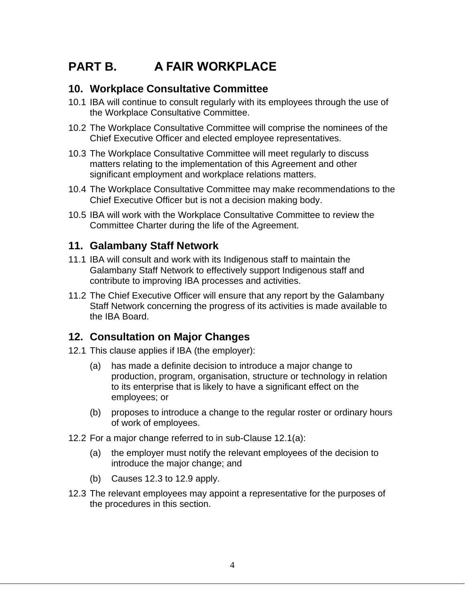## **PART B. A FAIR WORKPLACE**

#### **10. Workplace Consultative Committee**

- 10.1 IBA will continue to consult regularly with its employees through the use of the Workplace Consultative Committee.
- 10.2 The Workplace Consultative Committee will comprise the nominees of the Chief Executive Officer and elected employee representatives.
- 10.3 The Workplace Consultative Committee will meet regularly to discuss matters relating to the implementation of this Agreement and other significant employment and workplace relations matters.
- 10.4 The Workplace Consultative Committee may make recommendations to the Chief Executive Officer but is not a decision making body.
- 10.5 IBA will work with the Workplace Consultative Committee to review the Committee Charter during the life of the Agreement.

#### **11. Galambany Staff Network**

- 11.1 IBA will consult and work with its Indigenous staff to maintain the Galambany Staff Network to effectively support Indigenous staff and contribute to improving IBA processes and activities.
- 11.2 The Chief Executive Officer will ensure that any report by the Galambany Staff Network concerning the progress of its activities is made available to the IBA Board.

### **12. Consultation on Major Changes**

- 12.1 This clause applies if IBA (the employer):
	- (a) has made a definite decision to introduce a major change to production, program, organisation, structure or technology in relation to its enterprise that is likely to have a significant effect on the employees; or
	- (b) proposes to introduce a change to the regular roster or ordinary hours of work of employees.
- 12.2 For a major change referred to in sub-Clause 12.1(a):
	- (a) the employer must notify the relevant employees of the decision to introduce the major change; and
	- (b) Causes 12.3 to 12.9 apply.
- 12.3 The relevant employees may appoint a representative for the purposes of the procedures in this section.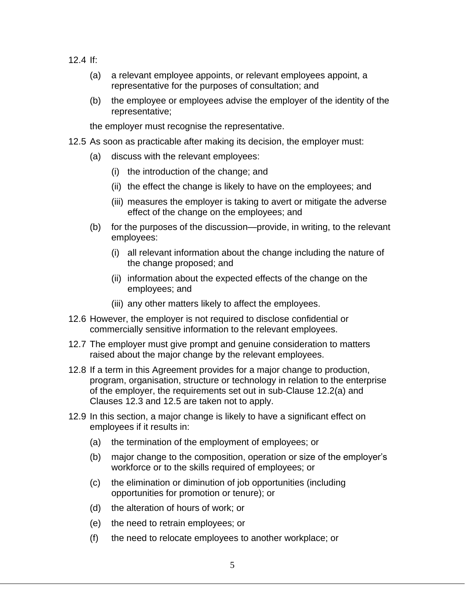- 12.4 If:
	- (a) a relevant employee appoints, or relevant employees appoint, a representative for the purposes of consultation; and
	- (b) the employee or employees advise the employer of the identity of the representative;

the employer must recognise the representative.

- 12.5 As soon as practicable after making its decision, the employer must:
	- (a) discuss with the relevant employees:
		- (i) the introduction of the change; and
		- (ii) the effect the change is likely to have on the employees; and
		- (iii) measures the employer is taking to avert or mitigate the adverse effect of the change on the employees; and
	- (b) for the purposes of the discussion—provide, in writing, to the relevant employees:
		- (i) all relevant information about the change including the nature of the change proposed; and
		- (ii) information about the expected effects of the change on the employees; and
		- (iii) any other matters likely to affect the employees.
- 12.6 However, the employer is not required to disclose confidential or commercially sensitive information to the relevant employees.
- 12.7 The employer must give prompt and genuine consideration to matters raised about the major change by the relevant employees.
- 12.8 If a term in this Agreement provides for a major change to production, program, organisation, structure or technology in relation to the enterprise of the employer, the requirements set out in sub-Clause 12.2(a) and Clauses 12.3 and 12.5 are taken not to apply.
- 12.9 In this section, a major change is likely to have a significant effect on employees if it results in:
	- (a) the termination of the employment of employees; or
	- (b) major change to the composition, operation or size of the employer's workforce or to the skills required of employees; or
	- (c) the elimination or diminution of job opportunities (including opportunities for promotion or tenure); or
	- (d) the alteration of hours of work; or
	- (e) the need to retrain employees; or
	- (f) the need to relocate employees to another workplace; or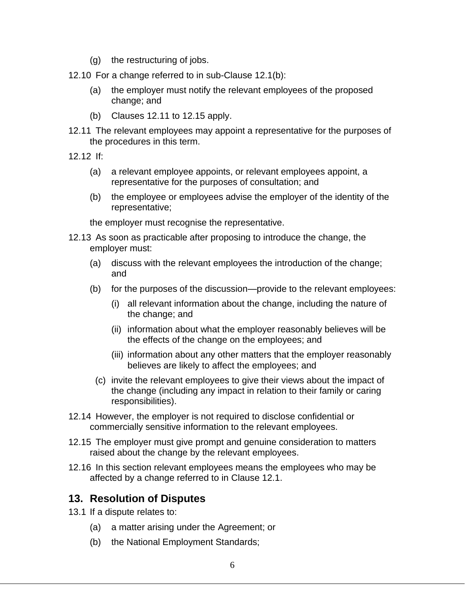(g) the restructuring of jobs.

12.10 For a change referred to in sub-Clause 12.1(b):

- (a) the employer must notify the relevant employees of the proposed change; and
- (b) Clauses 12.11 to 12.15 apply.
- 12.11 The relevant employees may appoint a representative for the purposes of the procedures in this term.
- 12.12 If:
	- (a) a relevant employee appoints, or relevant employees appoint, a representative for the purposes of consultation; and
	- (b) the employee or employees advise the employer of the identity of the representative;

the employer must recognise the representative.

- 12.13 As soon as practicable after proposing to introduce the change, the employer must:
	- (a) discuss with the relevant employees the introduction of the change; and
	- (b) for the purposes of the discussion—provide to the relevant employees:
		- (i) all relevant information about the change, including the nature of the change; and
		- (ii) information about what the employer reasonably believes will be the effects of the change on the employees; and
		- (iii) information about any other matters that the employer reasonably believes are likely to affect the employees; and
	- (c) invite the relevant employees to give their views about the impact of the change (including any impact in relation to their family or caring responsibilities).
- 12.14 However, the employer is not required to disclose confidential or commercially sensitive information to the relevant employees.
- 12.15 The employer must give prompt and genuine consideration to matters raised about the change by the relevant employees.
- 12.16 In this section relevant employees means the employees who may be affected by a change referred to in Clause 12.1.

## **13. Resolution of Disputes**

- 13.1 If a dispute relates to:
	- (a) a matter arising under the Agreement; or
	- (b) the National Employment Standards;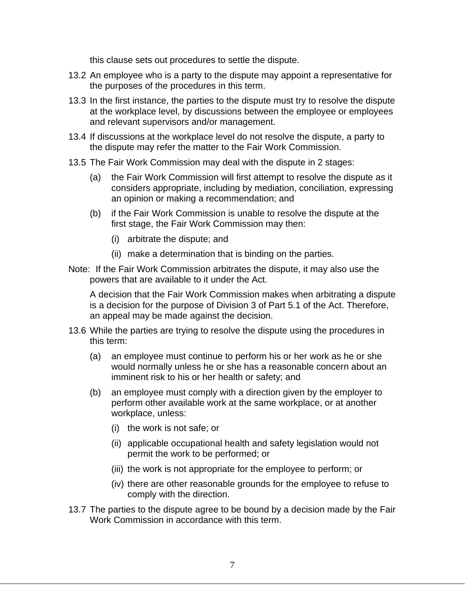this clause sets out procedures to settle the dispute.

- 13.2 An employee who is a party to the dispute may appoint a representative for the purposes of the procedures in this term.
- 13.3 In the first instance, the parties to the dispute must try to resolve the dispute at the workplace level, by discussions between the employee or employees and relevant supervisors and/or management.
- 13.4 If discussions at the workplace level do not resolve the dispute, a party to the dispute may refer the matter to the Fair Work Commission.
- 13.5 The Fair Work Commission may deal with the dispute in 2 stages:
	- (a) the Fair Work Commission will first attempt to resolve the dispute as it considers appropriate, including by mediation, conciliation, expressing an opinion or making a recommendation; and
	- (b) if the Fair Work Commission is unable to resolve the dispute at the first stage, the Fair Work Commission may then:
		- (i) arbitrate the dispute; and
		- (ii) make a determination that is binding on the parties.
- Note: If the Fair Work Commission arbitrates the dispute, it may also use the powers that are available to it under the Act.

A decision that the Fair Work Commission makes when arbitrating a dispute is a decision for the purpose of Division 3 of Part 5.1 of the Act. Therefore, an appeal may be made against the decision.

- 13.6 While the parties are trying to resolve the dispute using the procedures in this term:
	- (a) an employee must continue to perform his or her work as he or she would normally unless he or she has a reasonable concern about an imminent risk to his or her health or safety; and
	- (b) an employee must comply with a direction given by the employer to perform other available work at the same workplace, or at another workplace, unless:
		- (i) the work is not safe; or
		- (ii) applicable occupational health and safety legislation would not permit the work to be performed; or
		- (iii) the work is not appropriate for the employee to perform; or
		- (iv) there are other reasonable grounds for the employee to refuse to comply with the direction.
- 13.7 The parties to the dispute agree to be bound by a decision made by the Fair Work Commission in accordance with this term.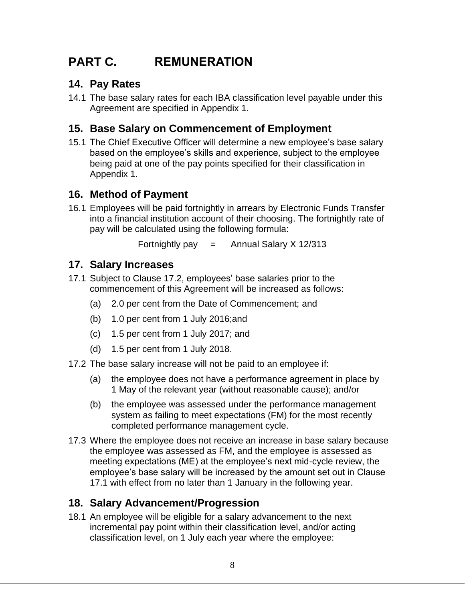## **PART C. REMUNERATION**

## **14. Pay Rates**

14.1 The base salary rates for each IBA classification level payable under this Agreement are specified in Appendix 1.

## **15. Base Salary on Commencement of Employment**

15.1 The Chief Executive Officer will determine a new employee's base salary based on the employee's skills and experience, subject to the employee being paid at one of the pay points specified for their classification in Appendix 1.

### **16. Method of Payment**

16.1 Employees will be paid fortnightly in arrears by Electronic Funds Transfer into a financial institution account of their choosing. The fortnightly rate of pay will be calculated using the following formula:

Fortnightly pay  $=$  Annual Salary X 12/313

### **17. Salary Increases**

- 17.1 Subject to Clause 17.2, employees' base salaries prior to the commencement of this Agreement will be increased as follows:
	- (a) 2.0 per cent from the Date of Commencement; and
	- (b) 1.0 per cent from 1 July 2016;and
	- (c) 1.5 per cent from 1 July 2017; and
	- (d) 1.5 per cent from 1 July 2018.
- 17.2 The base salary increase will not be paid to an employee if:
	- (a) the employee does not have a performance agreement in place by 1 May of the relevant year (without reasonable cause); and/or
	- (b) the employee was assessed under the performance management system as failing to meet expectations (FM) for the most recently completed performance management cycle.
- 17.3 Where the employee does not receive an increase in base salary because the employee was assessed as FM, and the employee is assessed as meeting expectations (ME) at the employee's next mid-cycle review, the employee's base salary will be increased by the amount set out in Clause 17.1 with effect from no later than 1 January in the following year.

#### **18. Salary Advancement/Progression**

18.1 An employee will be eligible for a salary advancement to the next incremental pay point within their classification level, and/or acting classification level, on 1 July each year where the employee: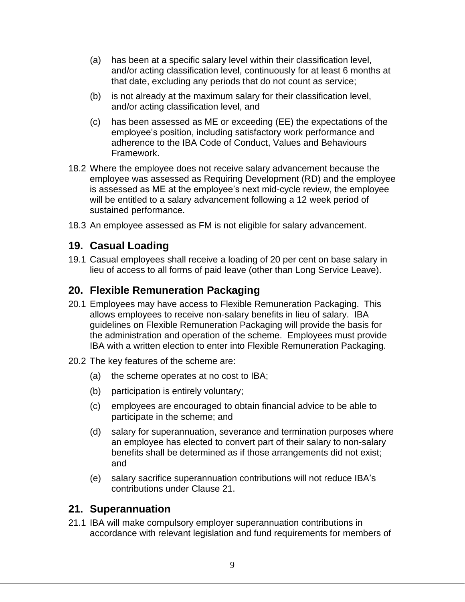- (a) has been at a specific salary level within their classification level, and/or acting classification level, continuously for at least 6 months at that date, excluding any periods that do not count as service;
- (b) is not already at the maximum salary for their classification level, and/or acting classification level, and
- (c) has been assessed as ME or exceeding (EE) the expectations of the employee's position, including satisfactory work performance and adherence to the IBA Code of Conduct, Values and Behaviours Framework.
- 18.2 Where the employee does not receive salary advancement because the employee was assessed as Requiring Development (RD) and the employee is assessed as ME at the employee's next mid-cycle review, the employee will be entitled to a salary advancement following a 12 week period of sustained performance.
- 18.3 An employee assessed as FM is not eligible for salary advancement.

#### **19. Casual Loading**

19.1 Casual employees shall receive a loading of 20 per cent on base salary in lieu of access to all forms of paid leave (other than Long Service Leave).

#### **20. Flexible Remuneration Packaging**

- 20.1 Employees may have access to Flexible Remuneration Packaging. This allows employees to receive non-salary benefits in lieu of salary. IBA guidelines on Flexible Remuneration Packaging will provide the basis for the administration and operation of the scheme. Employees must provide IBA with a written election to enter into Flexible Remuneration Packaging.
- 20.2 The key features of the scheme are:
	- (a) the scheme operates at no cost to IBA;
	- (b) participation is entirely voluntary;
	- (c) employees are encouraged to obtain financial advice to be able to participate in the scheme; and
	- (d) salary for superannuation, severance and termination purposes where an employee has elected to convert part of their salary to non-salary benefits shall be determined as if those arrangements did not exist; and
	- (e) salary sacrifice superannuation contributions will not reduce IBA's contributions under Clause 21.

#### **21. Superannuation**

21.1 IBA will make compulsory employer superannuation contributions in accordance with relevant legislation and fund requirements for members of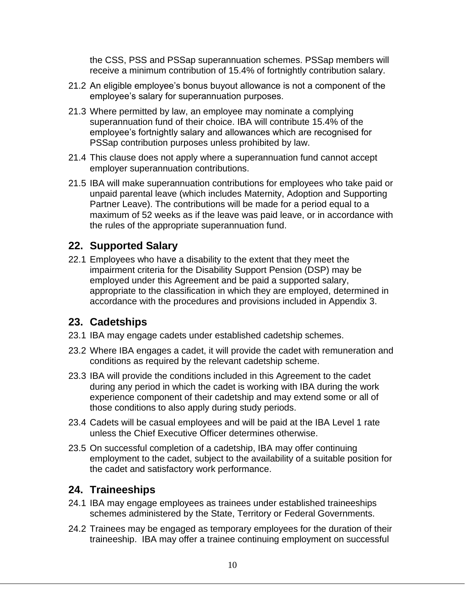the CSS, PSS and PSSap superannuation schemes. PSSap members will receive a minimum contribution of 15.4% of fortnightly contribution salary.

- 21.2 An eligible employee's bonus buyout allowance is not a component of the employee's salary for superannuation purposes.
- 21.3 Where permitted by law, an employee may nominate a complying superannuation fund of their choice. IBA will contribute 15.4% of the employee's fortnightly salary and allowances which are recognised for PSSap contribution purposes unless prohibited by law.
- 21.4 This clause does not apply where a superannuation fund cannot accept employer superannuation contributions.
- 21.5 IBA will make superannuation contributions for employees who take paid or unpaid parental leave (which includes Maternity, Adoption and Supporting Partner Leave). The contributions will be made for a period equal to a maximum of 52 weeks as if the leave was paid leave, or in accordance with the rules of the appropriate superannuation fund.

#### **22. Supported Salary**

22.1 Employees who have a disability to the extent that they meet the impairment criteria for the Disability Support Pension (DSP) may be employed under this Agreement and be paid a supported salary, appropriate to the classification in which they are employed, determined in accordance with the procedures and provisions included in Appendix 3.

#### **23. Cadetships**

- 23.1 IBA may engage cadets under established cadetship schemes.
- 23.2 Where IBA engages a cadet, it will provide the cadet with remuneration and conditions as required by the relevant cadetship scheme.
- 23.3 IBA will provide the conditions included in this Agreement to the cadet during any period in which the cadet is working with IBA during the work experience component of their cadetship and may extend some or all of those conditions to also apply during study periods.
- 23.4 Cadets will be casual employees and will be paid at the IBA Level 1 rate unless the Chief Executive Officer determines otherwise.
- 23.5 On successful completion of a cadetship, IBA may offer continuing employment to the cadet, subject to the availability of a suitable position for the cadet and satisfactory work performance.

### **24. Traineeships**

- 24.1 IBA may engage employees as trainees under established traineeships schemes administered by the State, Territory or Federal Governments.
- 24.2 Trainees may be engaged as temporary employees for the duration of their traineeship. IBA may offer a trainee continuing employment on successful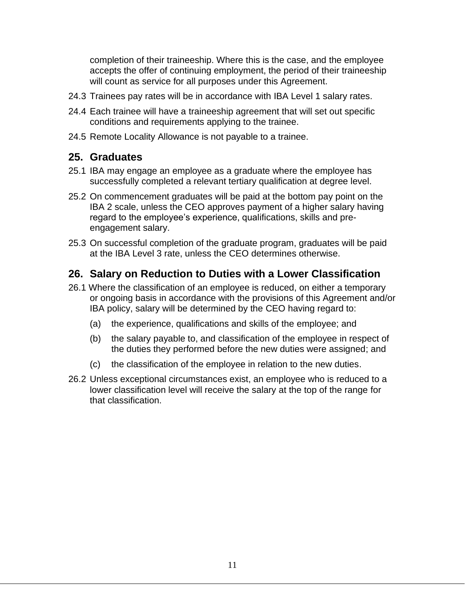completion of their traineeship. Where this is the case, and the employee accepts the offer of continuing employment, the period of their traineeship will count as service for all purposes under this Agreement.

- 24.3 Trainees pay rates will be in accordance with IBA Level 1 salary rates.
- 24.4 Each trainee will have a traineeship agreement that will set out specific conditions and requirements applying to the trainee.
- 24.5 Remote Locality Allowance is not payable to a trainee.

### **25. Graduates**

- 25.1 IBA may engage an employee as a graduate where the employee has successfully completed a relevant tertiary qualification at degree level.
- 25.2 On commencement graduates will be paid at the bottom pay point on the IBA 2 scale, unless the CEO approves payment of a higher salary having regard to the employee's experience, qualifications, skills and preengagement salary.
- 25.3 On successful completion of the graduate program, graduates will be paid at the IBA Level 3 rate, unless the CEO determines otherwise.

### **26. Salary on Reduction to Duties with a Lower Classification**

- 26.1 Where the classification of an employee is reduced, on either a temporary or ongoing basis in accordance with the provisions of this Agreement and/or IBA policy, salary will be determined by the CEO having regard to:
	- (a) the experience, qualifications and skills of the employee; and
	- (b) the salary payable to, and classification of the employee in respect of the duties they performed before the new duties were assigned; and
	- (c) the classification of the employee in relation to the new duties.
- 26.2 Unless exceptional circumstances exist, an employee who is reduced to a lower classification level will receive the salary at the top of the range for that classification.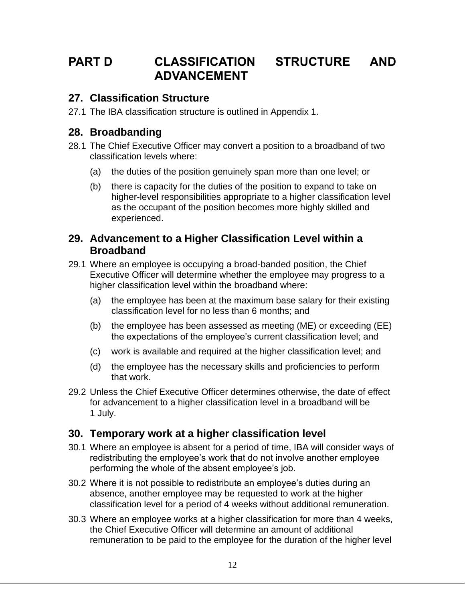## **PART D CLASSIFICATION STRUCTURE AND ADVANCEMENT**

#### **27. Classification Structure**

27.1 The IBA classification structure is outlined in Appendix 1.

#### **28. Broadbanding**

- 28.1 The Chief Executive Officer may convert a position to a broadband of two classification levels where:
	- (a) the duties of the position genuinely span more than one level; or
	- (b) there is capacity for the duties of the position to expand to take on higher-level responsibilities appropriate to a higher classification level as the occupant of the position becomes more highly skilled and experienced.

#### **29. Advancement to a Higher Classification Level within a Broadband**

- 29.1 Where an employee is occupying a broad-banded position, the Chief Executive Officer will determine whether the employee may progress to a higher classification level within the broadband where:
	- (a) the employee has been at the maximum base salary for their existing classification level for no less than 6 months; and
	- (b) the employee has been assessed as meeting (ME) or exceeding (EE) the expectations of the employee's current classification level; and
	- (c) work is available and required at the higher classification level; and
	- (d) the employee has the necessary skills and proficiencies to perform that work.
- 29.2 Unless the Chief Executive Officer determines otherwise, the date of effect for advancement to a higher classification level in a broadband will be 1 July.

### **30. Temporary work at a higher classification level**

- 30.1 Where an employee is absent for a period of time, IBA will consider ways of redistributing the employee's work that do not involve another employee performing the whole of the absent employee's job.
- 30.2 Where it is not possible to redistribute an employee's duties during an absence, another employee may be requested to work at the higher classification level for a period of 4 weeks without additional remuneration.
- 30.3 Where an employee works at a higher classification for more than 4 weeks, the Chief Executive Officer will determine an amount of additional remuneration to be paid to the employee for the duration of the higher level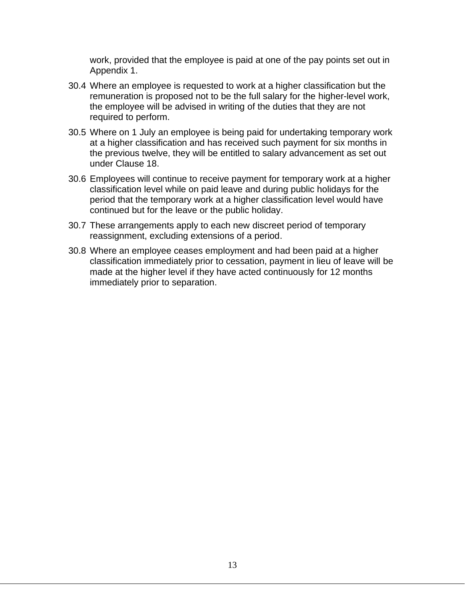work, provided that the employee is paid at one of the pay points set out in Appendix 1.

- 30.4 Where an employee is requested to work at a higher classification but the remuneration is proposed not to be the full salary for the higher-level work, the employee will be advised in writing of the duties that they are not required to perform.
- 30.5 Where on 1 July an employee is being paid for undertaking temporary work at a higher classification and has received such payment for six months in the previous twelve, they will be entitled to salary advancement as set out under Clause 18.
- 30.6 Employees will continue to receive payment for temporary work at a higher classification level while on paid leave and during public holidays for the period that the temporary work at a higher classification level would have continued but for the leave or the public holiday.
- 30.7 These arrangements apply to each new discreet period of temporary reassignment, excluding extensions of a period.
- 30.8 Where an employee ceases employment and had been paid at a higher classification immediately prior to cessation, payment in lieu of leave will be made at the higher level if they have acted continuously for 12 months immediately prior to separation.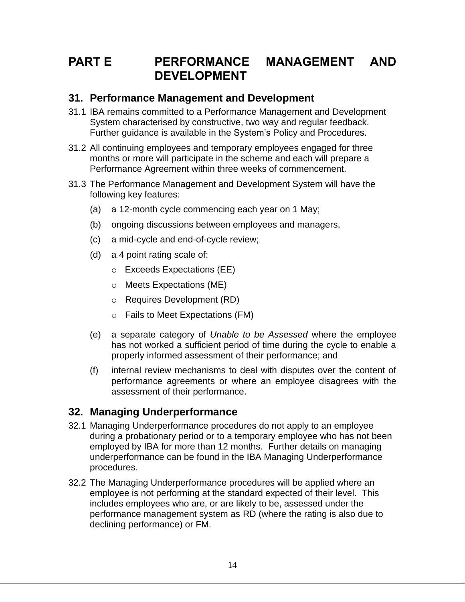## **PART E PERFORMANCE MANAGEMENT AND DEVELOPMENT**

#### **31. Performance Management and Development**

- 31.1 IBA remains committed to a Performance Management and Development System characterised by constructive, two way and regular feedback. Further guidance is available in the System's Policy and Procedures.
- 31.2 All continuing employees and temporary employees engaged for three months or more will participate in the scheme and each will prepare a Performance Agreement within three weeks of commencement.
- 31.3 The Performance Management and Development System will have the following key features:
	- (a) a 12-month cycle commencing each year on 1 May;
	- (b) ongoing discussions between employees and managers,
	- (c) a mid-cycle and end-of-cycle review;
	- (d) a 4 point rating scale of:
		- o Exceeds Expectations (EE)
		- o Meets Expectations (ME)
		- o Requires Development (RD)
		- o Fails to Meet Expectations (FM)
	- (e) a separate category of *Unable to be Assessed* where the employee has not worked a sufficient period of time during the cycle to enable a properly informed assessment of their performance; and
	- (f) internal review mechanisms to deal with disputes over the content of performance agreements or where an employee disagrees with the assessment of their performance.

### **32. Managing Underperformance**

- 32.1 Managing Underperformance procedures do not apply to an employee during a probationary period or to a temporary employee who has not been employed by IBA for more than 12 months. Further details on managing underperformance can be found in the IBA Managing Underperformance procedures.
- 32.2 The Managing Underperformance procedures will be applied where an employee is not performing at the standard expected of their level. This includes employees who are, or are likely to be, assessed under the performance management system as RD (where the rating is also due to declining performance) or FM.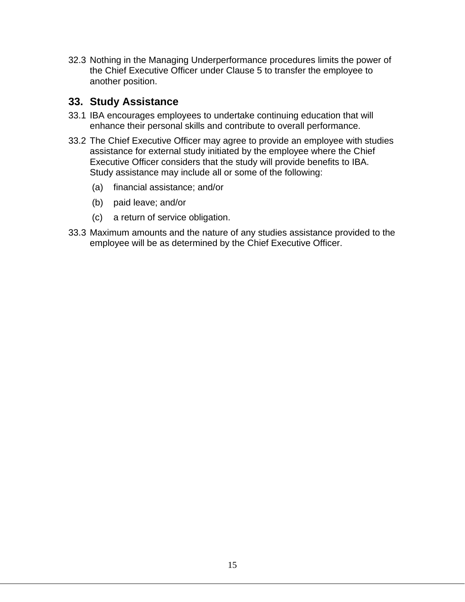32.3 Nothing in the Managing Underperformance procedures limits the power of the Chief Executive Officer under Clause 5 to transfer the employee to another position.

#### **33. Study Assistance**

- 33.1 IBA encourages employees to undertake continuing education that will enhance their personal skills and contribute to overall performance.
- 33.2 The Chief Executive Officer may agree to provide an employee with studies assistance for external study initiated by the employee where the Chief Executive Officer considers that the study will provide benefits to IBA. Study assistance may include all or some of the following:
	- (a) financial assistance; and/or
	- (b) paid leave; and/or
	- (c) a return of service obligation.
- 33.3 Maximum amounts and the nature of any studies assistance provided to the employee will be as determined by the Chief Executive Officer.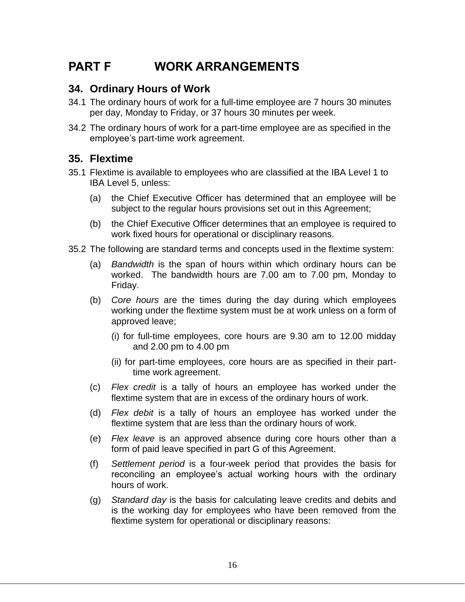## **PART F WORK ARRANGEMENTS**

#### **34. Ordinary Hours of Work**

- 34.1 The ordinary hours of work for a full-time employee are 7 hours 30 minutes per day, Monday to Friday, or 37 hours 30 minutes per week.
- 34.2 The ordinary hours of work for a part-time employee are as specified in the employee's part-time work agreement.

#### **35. Flextime**

- 35.1 Flextime is available to employees who are classified at the IBA Level 1 to IBA Level 5, unless:
	- (a) the Chief Executive Officer has determined that an employee will be subject to the regular hours provisions set out in this Agreement;
	- (b) the Chief Executive Officer determines that an employee is required to work fixed hours for operational or disciplinary reasons.
- 35.2 The following are standard terms and concepts used in the flextime system:
	- (a) *Bandwidth* is the span of hours within which ordinary hours can be worked. The bandwidth hours are 7.00 am to 7.00 pm, Monday to Friday.
	- (b) *Core hours* are the times during the day during which employees working under the flextime system must be at work unless on a form of approved leave;
		- (i) for full-time employees, core hours are 9.30 am to 12.00 midday and 2.00 pm to 4.00 pm
		- (ii) for part-time employees, core hours are as specified in their parttime work agreement.
	- (c) *Flex credit* is a tally of hours an employee has worked under the flextime system that are in excess of the ordinary hours of work.
	- (d) *Flex debit* is a tally of hours an employee has worked under the flextime system that are less than the ordinary hours of work.
	- (e) *Flex leave* is an approved absence during core hours other than a form of paid leave specified in part G of this Agreement.
	- (f) *Settlement period* is a four-week period that provides the basis for reconciling an employee's actual working hours with the ordinary hours of work.
	- (g) *Standard day* is the basis for calculating leave credits and debits and is the working day for employees who have been removed from the flextime system for operational or disciplinary reasons: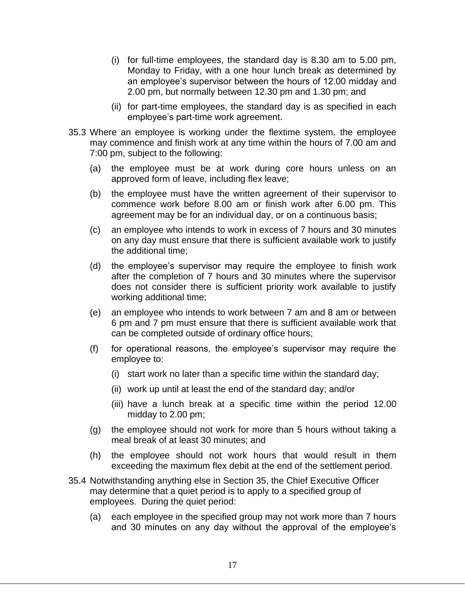- (i) for full-time employees, the standard day is 8.30 am to 5.00 pm, Monday to Friday, with a one hour lunch break as determined by an employee's supervisor between the hours of 12.00 midday and 2.00 pm, but normally between 12.30 pm and 1.30 pm; and
- (ii) for part-time employees, the standard day is as specified in each employee's part-time work agreement.
- 35.3 Where an employee is working under the flextime system, the employee may commence and finish work at any time within the hours of 7.00 am and 7:00 pm, subject to the following:
	- (a) the employee must be at work during core hours unless on an approved form of leave, including flex leave;
	- (b) the employee must have the written agreement of their supervisor to commence work before 8.00 am or finish work after 6.00 pm. This agreement may be for an individual day, or on a continuous basis;
	- (c) an employee who intends to work in excess of 7 hours and 30 minutes on any day must ensure that there is sufficient available work to justify the additional time;
	- (d) the employee's supervisor may require the employee to finish work after the completion of 7 hours and 30 minutes where the supervisor does not consider there is sufficient priority work available to justify working additional time;
	- (e) an employee who intends to work between 7 am and 8 am or between 6 pm and 7 pm must ensure that there is sufficient available work that can be completed outside of ordinary office hours;
	- (f) for operational reasons, the employee's supervisor may require the employee to:
		- (i) start work no later than a specific time within the standard day;
		- (ii) work up until at least the end of the standard day; and/or
		- (iii) have a lunch break at a specific time within the period 12.00 midday to 2.00 pm;
	- (g) the employee should not work for more than 5 hours without taking a meal break of at least 30 minutes; and
	- (h) the employee should not work hours that would result in them exceeding the maximum flex debit at the end of the settlement period.
- 35.4 Notwithstanding anything else in Section 35, the Chief Executive Officer may determine that a quiet period is to apply to a specified group of employees. During the quiet period:
	- (a) each employee in the specified group may not work more than 7 hours and 30 minutes on any day without the approval of the employee's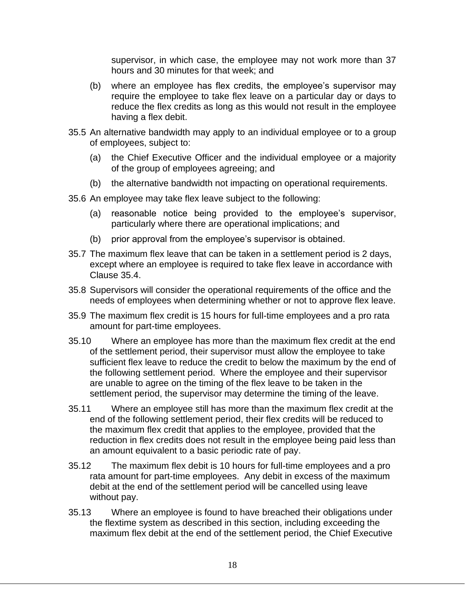supervisor, in which case, the employee may not work more than 37 hours and 30 minutes for that week; and

- (b) where an employee has flex credits, the employee's supervisor may require the employee to take flex leave on a particular day or days to reduce the flex credits as long as this would not result in the employee having a flex debit.
- 35.5 An alternative bandwidth may apply to an individual employee or to a group of employees, subject to:
	- (a) the Chief Executive Officer and the individual employee or a majority of the group of employees agreeing; and
	- (b) the alternative bandwidth not impacting on operational requirements.
- 35.6 An employee may take flex leave subject to the following:
	- (a) reasonable notice being provided to the employee's supervisor, particularly where there are operational implications; and
	- (b) prior approval from the employee's supervisor is obtained.
- 35.7 The maximum flex leave that can be taken in a settlement period is 2 days, except where an employee is required to take flex leave in accordance with Clause 35.4.
- 35.8 Supervisors will consider the operational requirements of the office and the needs of employees when determining whether or not to approve flex leave.
- 35.9 The maximum flex credit is 15 hours for full-time employees and a pro rata amount for part-time employees.
- 35.10 Where an employee has more than the maximum flex credit at the end of the settlement period, their supervisor must allow the employee to take sufficient flex leave to reduce the credit to below the maximum by the end of the following settlement period. Where the employee and their supervisor are unable to agree on the timing of the flex leave to be taken in the settlement period, the supervisor may determine the timing of the leave.
- 35.11 Where an employee still has more than the maximum flex credit at the end of the following settlement period, their flex credits will be reduced to the maximum flex credit that applies to the employee, provided that the reduction in flex credits does not result in the employee being paid less than an amount equivalent to a basic periodic rate of pay.
- 35.12 The maximum flex debit is 10 hours for full-time employees and a pro rata amount for part-time employees. Any debit in excess of the maximum debit at the end of the settlement period will be cancelled using leave without pay.
- 35.13 Where an employee is found to have breached their obligations under the flextime system as described in this section, including exceeding the maximum flex debit at the end of the settlement period, the Chief Executive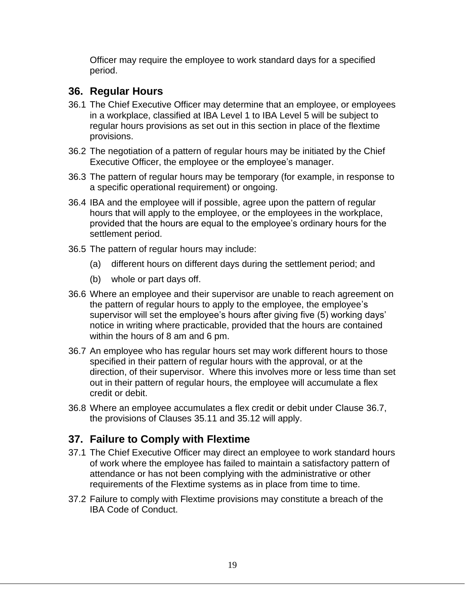Officer may require the employee to work standard days for a specified period.

### **36. Regular Hours**

- 36.1 The Chief Executive Officer may determine that an employee, or employees in a workplace, classified at IBA Level 1 to IBA Level 5 will be subject to regular hours provisions as set out in this section in place of the flextime provisions.
- 36.2 The negotiation of a pattern of regular hours may be initiated by the Chief Executive Officer, the employee or the employee's manager.
- 36.3 The pattern of regular hours may be temporary (for example, in response to a specific operational requirement) or ongoing.
- 36.4 IBA and the employee will if possible, agree upon the pattern of regular hours that will apply to the employee, or the employees in the workplace, provided that the hours are equal to the employee's ordinary hours for the settlement period.
- 36.5 The pattern of regular hours may include:
	- (a) different hours on different days during the settlement period; and
	- (b) whole or part days off.
- 36.6 Where an employee and their supervisor are unable to reach agreement on the pattern of regular hours to apply to the employee, the employee's supervisor will set the employee's hours after giving five (5) working days' notice in writing where practicable, provided that the hours are contained within the hours of 8 am and 6 pm.
- 36.7 An employee who has regular hours set may work different hours to those specified in their pattern of regular hours with the approval, or at the direction, of their supervisor. Where this involves more or less time than set out in their pattern of regular hours, the employee will accumulate a flex credit or debit.
- 36.8 Where an employee accumulates a flex credit or debit under Clause 36.7, the provisions of Clauses 35.11 and 35.12 will apply.

#### **37. Failure to Comply with Flextime**

- 37.1 The Chief Executive Officer may direct an employee to work standard hours of work where the employee has failed to maintain a satisfactory pattern of attendance or has not been complying with the administrative or other requirements of the Flextime systems as in place from time to time.
- 37.2 Failure to comply with Flextime provisions may constitute a breach of the IBA Code of Conduct.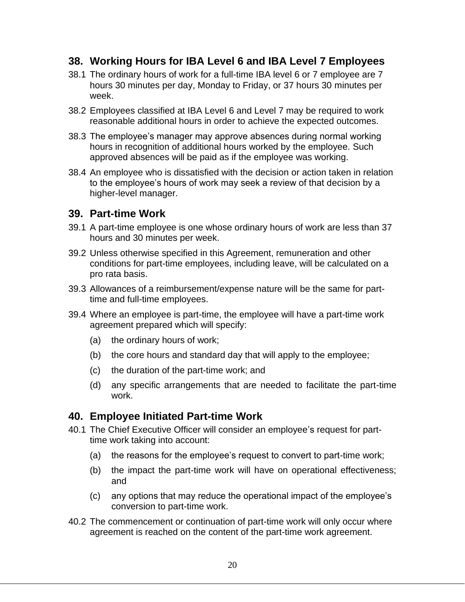### **38. Working Hours for IBA Level 6 and IBA Level 7 Employees**

- 38.1 The ordinary hours of work for a full-time IBA level 6 or 7 employee are 7 hours 30 minutes per day, Monday to Friday, or 37 hours 30 minutes per week.
- 38.2 Employees classified at IBA Level 6 and Level 7 may be required to work reasonable additional hours in order to achieve the expected outcomes.
- 38.3 The employee's manager may approve absences during normal working hours in recognition of additional hours worked by the employee. Such approved absences will be paid as if the employee was working.
- 38.4 An employee who is dissatisfied with the decision or action taken in relation to the employee's hours of work may seek a review of that decision by a higher-level manager.

#### **39. Part-time Work**

- 39.1 A part-time employee is one whose ordinary hours of work are less than 37 hours and 30 minutes per week.
- 39.2 Unless otherwise specified in this Agreement, remuneration and other conditions for part-time employees, including leave, will be calculated on a pro rata basis.
- 39.3 Allowances of a reimbursement/expense nature will be the same for parttime and full-time employees.
- 39.4 Where an employee is part-time, the employee will have a part-time work agreement prepared which will specify:
	- (a) the ordinary hours of work;
	- (b) the core hours and standard day that will apply to the employee;
	- (c) the duration of the part-time work; and
	- (d) any specific arrangements that are needed to facilitate the part-time work.

#### **40. Employee Initiated Part-time Work**

- 40.1 The Chief Executive Officer will consider an employee's request for parttime work taking into account:
	- (a) the reasons for the employee's request to convert to part-time work;
	- (b) the impact the part-time work will have on operational effectiveness; and
	- (c) any options that may reduce the operational impact of the employee's conversion to part-time work.
- 40.2 The commencement or continuation of part-time work will only occur where agreement is reached on the content of the part-time work agreement.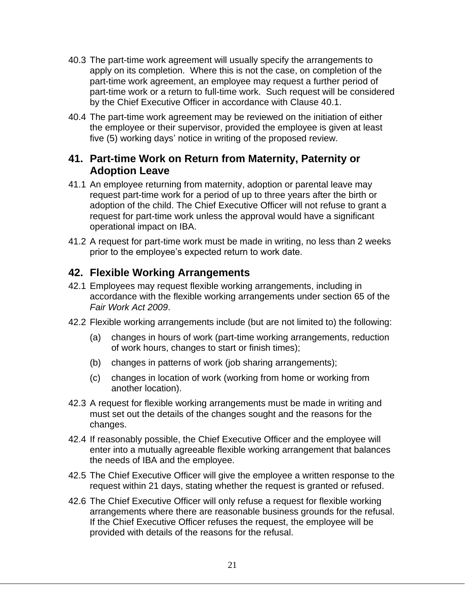- 40.3 The part-time work agreement will usually specify the arrangements to apply on its completion. Where this is not the case, on completion of the part-time work agreement, an employee may request a further period of part-time work or a return to full-time work. Such request will be considered by the Chief Executive Officer in accordance with Clause 40.1.
- 40.4 The part-time work agreement may be reviewed on the initiation of either the employee or their supervisor, provided the employee is given at least five (5) working days' notice in writing of the proposed review.

#### **41. Part-time Work on Return from Maternity, Paternity or Adoption Leave**

- 41.1 An employee returning from maternity, adoption or parental leave may request part-time work for a period of up to three years after the birth or adoption of the child. The Chief Executive Officer will not refuse to grant a request for part-time work unless the approval would have a significant operational impact on IBA.
- 41.2 A request for part-time work must be made in writing, no less than 2 weeks prior to the employee's expected return to work date.

### **42. Flexible Working Arrangements**

- 42.1 Employees may request flexible working arrangements, including in accordance with the flexible working arrangements under section 65 of the *Fair Work Act 2009*.
- 42.2 Flexible working arrangements include (but are not limited to) the following:
	- (a) changes in hours of work (part-time working arrangements, reduction of work hours, changes to start or finish times);
	- (b) changes in patterns of work (job sharing arrangements);
	- (c) changes in location of work (working from home or working from another location).
- 42.3 A request for flexible working arrangements must be made in writing and must set out the details of the changes sought and the reasons for the changes.
- 42.4 If reasonably possible, the Chief Executive Officer and the employee will enter into a mutually agreeable flexible working arrangement that balances the needs of IBA and the employee.
- 42.5 The Chief Executive Officer will give the employee a written response to the request within 21 days, stating whether the request is granted or refused.
- 42.6 The Chief Executive Officer will only refuse a request for flexible working arrangements where there are reasonable business grounds for the refusal. If the Chief Executive Officer refuses the request, the employee will be provided with details of the reasons for the refusal.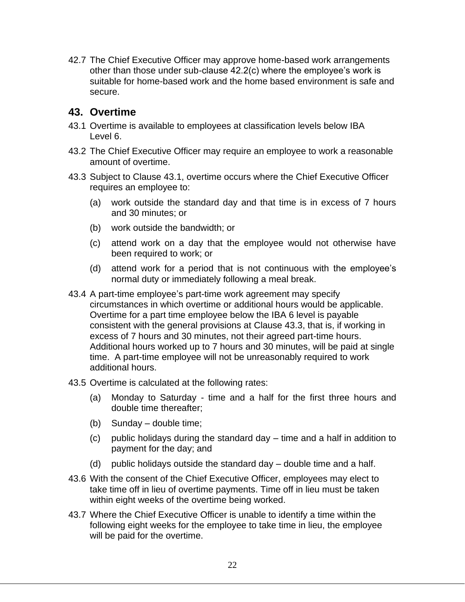42.7 The Chief Executive Officer may approve home-based work arrangements other than those under sub-clause 42.2(c) where the employee's work is suitable for home-based work and the home based environment is safe and secure.

### **43. Overtime**

- 43.1 Overtime is available to employees at classification levels below IBA Level 6.
- 43.2 The Chief Executive Officer may require an employee to work a reasonable amount of overtime.
- 43.3 Subject to Clause 43.1, overtime occurs where the Chief Executive Officer requires an employee to:
	- (a) work outside the standard day and that time is in excess of 7 hours and 30 minutes; or
	- (b) work outside the bandwidth; or
	- (c) attend work on a day that the employee would not otherwise have been required to work; or
	- (d) attend work for a period that is not continuous with the employee's normal duty or immediately following a meal break.
- 43.4 A part-time employee's part-time work agreement may specify circumstances in which overtime or additional hours would be applicable. Overtime for a part time employee below the IBA 6 level is payable consistent with the general provisions at Clause 43.3, that is, if working in excess of 7 hours and 30 minutes, not their agreed part-time hours. Additional hours worked up to 7 hours and 30 minutes, will be paid at single time. A part-time employee will not be unreasonably required to work additional hours.
- 43.5 Overtime is calculated at the following rates:
	- (a) Monday to Saturday time and a half for the first three hours and double time thereafter;
	- (b) Sunday double time;
	- (c) public holidays during the standard day time and a half in addition to payment for the day; and
	- (d) public holidays outside the standard day double time and a half.
- 43.6 With the consent of the Chief Executive Officer, employees may elect to take time off in lieu of overtime payments. Time off in lieu must be taken within eight weeks of the overtime being worked.
- 43.7 Where the Chief Executive Officer is unable to identify a time within the following eight weeks for the employee to take time in lieu, the employee will be paid for the overtime.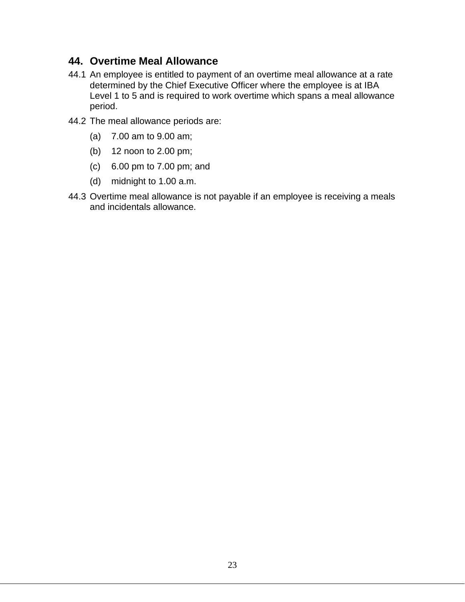### **44. Overtime Meal Allowance**

- 44.1 An employee is entitled to payment of an overtime meal allowance at a rate determined by the Chief Executive Officer where the employee is at IBA Level 1 to 5 and is required to work overtime which spans a meal allowance period.
- 44.2 The meal allowance periods are:
	- (a) 7.00 am to 9.00 am;
	- (b) 12 noon to 2.00 pm;
	- (c) 6.00 pm to 7.00 pm; and
	- (d) midnight to 1.00 a.m.
- 44.3 Overtime meal allowance is not payable if an employee is receiving a meals and incidentals allowance.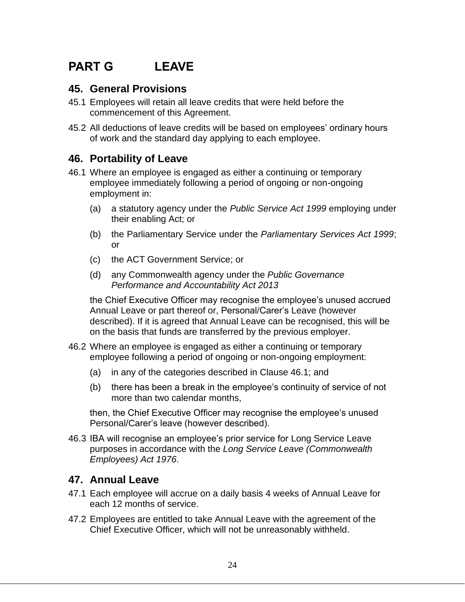## **PART G LEAVE**

#### **45. General Provisions**

- 45.1 Employees will retain all leave credits that were held before the commencement of this Agreement.
- 45.2 All deductions of leave credits will be based on employees' ordinary hours of work and the standard day applying to each employee.

#### **46. Portability of Leave**

- 46.1 Where an employee is engaged as either a continuing or temporary employee immediately following a period of ongoing or non-ongoing employment in:
	- (a) a statutory agency under the *Public Service Act 1999* employing under their enabling Act; or
	- (b) the Parliamentary Service under the *Parliamentary Services Act 1999*; or
	- (c) the ACT Government Service; or
	- (d) any Commonwealth agency under the *Public Governance Performance and Accountability Act 2013*

the Chief Executive Officer may recognise the employee's unused accrued Annual Leave or part thereof or, Personal/Carer's Leave (however described). If it is agreed that Annual Leave can be recognised, this will be on the basis that funds are transferred by the previous employer.

- 46.2 Where an employee is engaged as either a continuing or temporary employee following a period of ongoing or non-ongoing employment:
	- (a) in any of the categories described in Clause 46.1; and
	- (b) there has been a break in the employee's continuity of service of not more than two calendar months,

then, the Chief Executive Officer may recognise the employee's unused Personal/Carer's leave (however described).

46.3 IBA will recognise an employee's prior service for Long Service Leave purposes in accordance with the *Long Service Leave (Commonwealth Employees) Act 1976*.

### **47. Annual Leave**

- 47.1 Each employee will accrue on a daily basis 4 weeks of Annual Leave for each 12 months of service.
- 47.2 Employees are entitled to take Annual Leave with the agreement of the Chief Executive Officer, which will not be unreasonably withheld.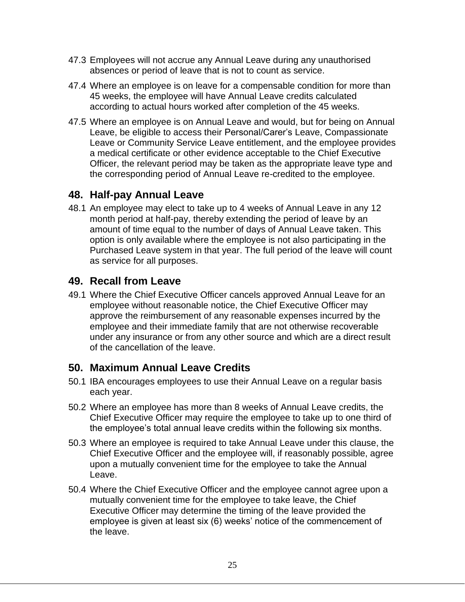- 47.3 Employees will not accrue any Annual Leave during any unauthorised absences or period of leave that is not to count as service.
- 47.4 Where an employee is on leave for a compensable condition for more than 45 weeks, the employee will have Annual Leave credits calculated according to actual hours worked after completion of the 45 weeks.
- 47.5 Where an employee is on Annual Leave and would, but for being on Annual Leave, be eligible to access their Personal/Carer's Leave, Compassionate Leave or Community Service Leave entitlement, and the employee provides a medical certificate or other evidence acceptable to the Chief Executive Officer, the relevant period may be taken as the appropriate leave type and the corresponding period of Annual Leave re-credited to the employee.

#### **48. Half-pay Annual Leave**

48.1 An employee may elect to take up to 4 weeks of Annual Leave in any 12 month period at half-pay, thereby extending the period of leave by an amount of time equal to the number of days of Annual Leave taken. This option is only available where the employee is not also participating in the Purchased Leave system in that year. The full period of the leave will count as service for all purposes.

### **49. Recall from Leave**

49.1 Where the Chief Executive Officer cancels approved Annual Leave for an employee without reasonable notice, the Chief Executive Officer may approve the reimbursement of any reasonable expenses incurred by the employee and their immediate family that are not otherwise recoverable under any insurance or from any other source and which are a direct result of the cancellation of the leave.

### **50. Maximum Annual Leave Credits**

- 50.1 IBA encourages employees to use their Annual Leave on a regular basis each year.
- 50.2 Where an employee has more than 8 weeks of Annual Leave credits, the Chief Executive Officer may require the employee to take up to one third of the employee's total annual leave credits within the following six months.
- 50.3 Where an employee is required to take Annual Leave under this clause, the Chief Executive Officer and the employee will, if reasonably possible, agree upon a mutually convenient time for the employee to take the Annual Leave.
- 50.4 Where the Chief Executive Officer and the employee cannot agree upon a mutually convenient time for the employee to take leave, the Chief Executive Officer may determine the timing of the leave provided the employee is given at least six (6) weeks' notice of the commencement of the leave.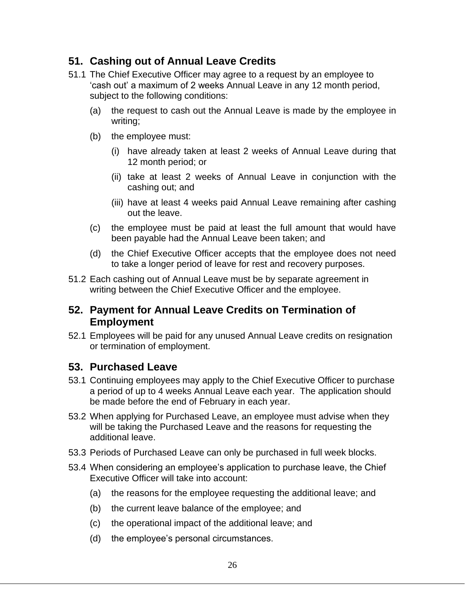### **51. Cashing out of Annual Leave Credits**

- 51.1 The Chief Executive Officer may agree to a request by an employee to 'cash out' a maximum of 2 weeks Annual Leave in any 12 month period, subject to the following conditions:
	- (a) the request to cash out the Annual Leave is made by the employee in writing;
	- (b) the employee must:
		- (i) have already taken at least 2 weeks of Annual Leave during that 12 month period; or
		- (ii) take at least 2 weeks of Annual Leave in conjunction with the cashing out; and
		- (iii) have at least 4 weeks paid Annual Leave remaining after cashing out the leave.
	- (c) the employee must be paid at least the full amount that would have been payable had the Annual Leave been taken; and
	- (d) the Chief Executive Officer accepts that the employee does not need to take a longer period of leave for rest and recovery purposes.
- 51.2 Each cashing out of Annual Leave must be by separate agreement in writing between the Chief Executive Officer and the employee.

### **52. Payment for Annual Leave Credits on Termination of Employment**

52.1 Employees will be paid for any unused Annual Leave credits on resignation or termination of employment.

### **53. Purchased Leave**

- 53.1 Continuing employees may apply to the Chief Executive Officer to purchase a period of up to 4 weeks Annual Leave each year. The application should be made before the end of February in each year.
- 53.2 When applying for Purchased Leave, an employee must advise when they will be taking the Purchased Leave and the reasons for requesting the additional leave.
- 53.3 Periods of Purchased Leave can only be purchased in full week blocks.
- 53.4 When considering an employee's application to purchase leave, the Chief Executive Officer will take into account:
	- (a) the reasons for the employee requesting the additional leave; and
	- (b) the current leave balance of the employee; and
	- (c) the operational impact of the additional leave; and
	- (d) the employee's personal circumstances.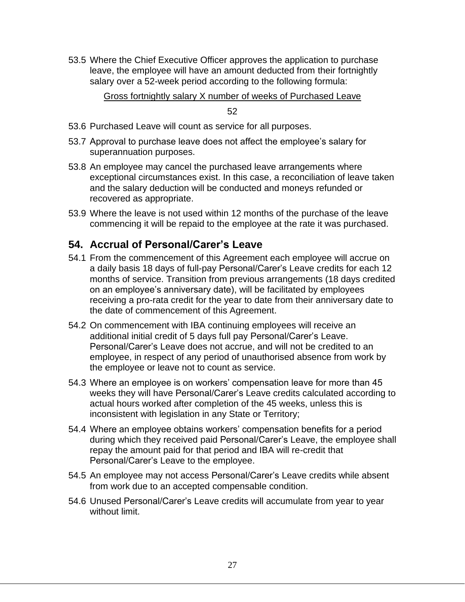53.5 Where the Chief Executive Officer approves the application to purchase leave, the employee will have an amount deducted from their fortnightly salary over a 52-week period according to the following formula:

Gross fortnightly salary X number of weeks of Purchased Leave

52

- 53.6 Purchased Leave will count as service for all purposes.
- 53.7 Approval to purchase leave does not affect the employee's salary for superannuation purposes.
- 53.8 An employee may cancel the purchased leave arrangements where exceptional circumstances exist. In this case, a reconciliation of leave taken and the salary deduction will be conducted and moneys refunded or recovered as appropriate.
- 53.9 Where the leave is not used within 12 months of the purchase of the leave commencing it will be repaid to the employee at the rate it was purchased.

## **54. Accrual of Personal/Carer's Leave**

- 54.1 From the commencement of this Agreement each employee will accrue on a daily basis 18 days of full-pay Personal/Carer's Leave credits for each 12 months of service. Transition from previous arrangements (18 days credited on an employee's anniversary date), will be facilitated by employees receiving a pro-rata credit for the year to date from their anniversary date to the date of commencement of this Agreement.
- 54.2 On commencement with IBA continuing employees will receive an additional initial credit of 5 days full pay Personal/Carer's Leave. Personal/Carer's Leave does not accrue, and will not be credited to an employee, in respect of any period of unauthorised absence from work by the employee or leave not to count as service.
- 54.3 Where an employee is on workers' compensation leave for more than 45 weeks they will have Personal/Carer's Leave credits calculated according to actual hours worked after completion of the 45 weeks, unless this is inconsistent with legislation in any State or Territory;
- 54.4 Where an employee obtains workers' compensation benefits for a period during which they received paid Personal/Carer's Leave, the employee shall repay the amount paid for that period and IBA will re-credit that Personal/Carer's Leave to the employee.
- 54.5 An employee may not access Personal/Carer's Leave credits while absent from work due to an accepted compensable condition.
- 54.6 Unused Personal/Carer's Leave credits will accumulate from year to year without limit.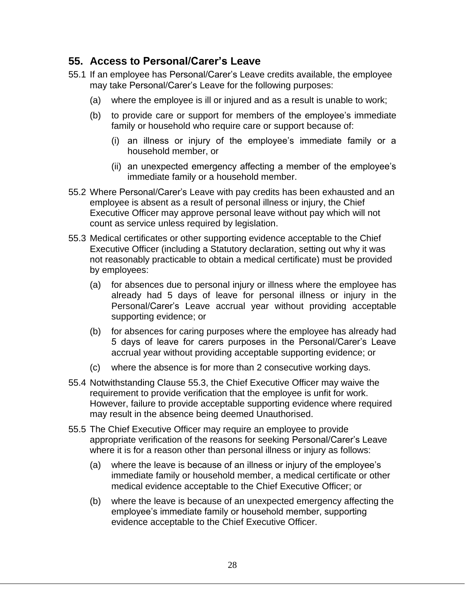#### **55. Access to Personal/Carer's Leave**

- 55.1 If an employee has Personal/Carer's Leave credits available, the employee may take Personal/Carer's Leave for the following purposes:
	- (a) where the employee is ill or injured and as a result is unable to work;
	- (b) to provide care or support for members of the employee's immediate family or household who require care or support because of:
		- (i) an illness or injury of the employee's immediate family or a household member, or
		- (ii) an unexpected emergency affecting a member of the employee's immediate family or a household member.
- 55.2 Where Personal/Carer's Leave with pay credits has been exhausted and an employee is absent as a result of personal illness or injury, the Chief Executive Officer may approve personal leave without pay which will not count as service unless required by legislation.
- 55.3 Medical certificates or other supporting evidence acceptable to the Chief Executive Officer (including a Statutory declaration, setting out why it was not reasonably practicable to obtain a medical certificate) must be provided by employees:
	- (a) for absences due to personal injury or illness where the employee has already had 5 days of leave for personal illness or injury in the Personal/Carer's Leave accrual year without providing acceptable supporting evidence; or
	- (b) for absences for caring purposes where the employee has already had 5 days of leave for carers purposes in the Personal/Carer's Leave accrual year without providing acceptable supporting evidence; or
	- (c) where the absence is for more than 2 consecutive working days.
- 55.4 Notwithstanding Clause 55.3, the Chief Executive Officer may waive the requirement to provide verification that the employee is unfit for work. However, failure to provide acceptable supporting evidence where required may result in the absence being deemed Unauthorised.
- 55.5 The Chief Executive Officer may require an employee to provide appropriate verification of the reasons for seeking Personal/Carer's Leave where it is for a reason other than personal illness or injury as follows:
	- (a) where the leave is because of an illness or injury of the employee's immediate family or household member, a medical certificate or other medical evidence acceptable to the Chief Executive Officer; or
	- (b) where the leave is because of an unexpected emergency affecting the employee's immediate family or household member, supporting evidence acceptable to the Chief Executive Officer.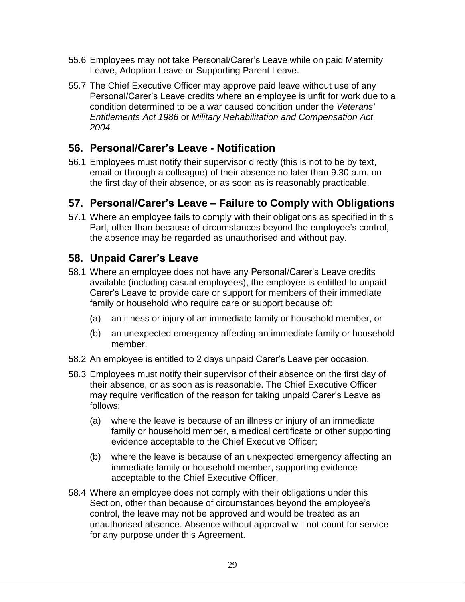- 55.6 Employees may not take Personal/Carer's Leave while on paid Maternity Leave, Adoption Leave or Supporting Parent Leave.
- 55.7 The Chief Executive Officer may approve paid leave without use of any Personal/Carer's Leave credits where an employee is unfit for work due to a condition determined to be a war caused condition under the *Veterans' Entitlements Act 1986* or *Military Rehabilitation and Compensation Act 2004.*

### **56. Personal/Carer's Leave - Notification**

56.1 Employees must notify their supervisor directly (this is not to be by text, email or through a colleague) of their absence no later than 9.30 a.m. on the first day of their absence, or as soon as is reasonably practicable.

## **57. Personal/Carer's Leave – Failure to Comply with Obligations**

57.1 Where an employee fails to comply with their obligations as specified in this Part, other than because of circumstances beyond the employee's control, the absence may be regarded as unauthorised and without pay.

## **58. Unpaid Carer's Leave**

- 58.1 Where an employee does not have any Personal/Carer's Leave credits available (including casual employees), the employee is entitled to unpaid Carer's Leave to provide care or support for members of their immediate family or household who require care or support because of:
	- (a) an illness or injury of an immediate family or household member, or
	- (b) an unexpected emergency affecting an immediate family or household member.
- 58.2 An employee is entitled to 2 days unpaid Carer's Leave per occasion.
- 58.3 Employees must notify their supervisor of their absence on the first day of their absence, or as soon as is reasonable. The Chief Executive Officer may require verification of the reason for taking unpaid Carer's Leave as follows:
	- (a) where the leave is because of an illness or injury of an immediate family or household member, a medical certificate or other supporting evidence acceptable to the Chief Executive Officer;
	- (b) where the leave is because of an unexpected emergency affecting an immediate family or household member, supporting evidence acceptable to the Chief Executive Officer.
- 58.4 Where an employee does not comply with their obligations under this Section, other than because of circumstances beyond the employee's control, the leave may not be approved and would be treated as an unauthorised absence. Absence without approval will not count for service for any purpose under this Agreement.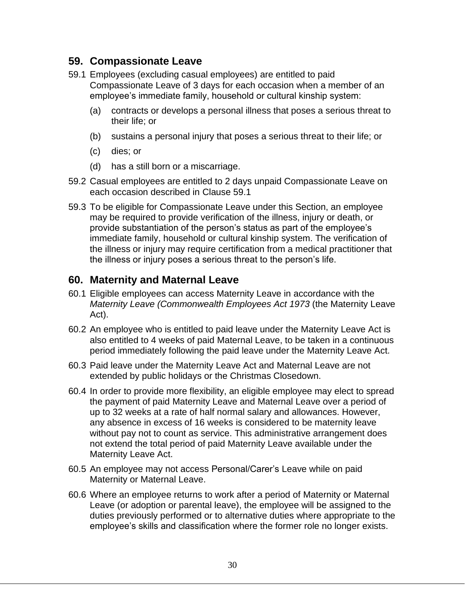### **59. Compassionate Leave**

- 59.1 Employees (excluding casual employees) are entitled to paid Compassionate Leave of 3 days for each occasion when a member of an employee's immediate family, household or cultural kinship system:
	- (a) contracts or develops a personal illness that poses a serious threat to their life; or
	- (b) sustains a personal injury that poses a serious threat to their life; or
	- (c) dies; or
	- (d) has a still born or a miscarriage.
- 59.2 Casual employees are entitled to 2 days unpaid Compassionate Leave on each occasion described in Clause 59.1
- 59.3 To be eligible for Compassionate Leave under this Section, an employee may be required to provide verification of the illness, injury or death, or provide substantiation of the person's status as part of the employee's immediate family, household or cultural kinship system. The verification of the illness or injury may require certification from a medical practitioner that the illness or injury poses a serious threat to the person's life.

### **60. Maternity and Maternal Leave**

- 60.1 Eligible employees can access Maternity Leave in accordance with the *Maternity Leave (Commonwealth Employees Act 1973* (the Maternity Leave Act).
- 60.2 An employee who is entitled to paid leave under the Maternity Leave Act is also entitled to 4 weeks of paid Maternal Leave, to be taken in a continuous period immediately following the paid leave under the Maternity Leave Act*.*
- 60.3 Paid leave under the Maternity Leave Act and Maternal Leave are not extended by public holidays or the Christmas Closedown.
- 60.4 In order to provide more flexibility, an eligible employee may elect to spread the payment of paid Maternity Leave and Maternal Leave over a period of up to 32 weeks at a rate of half normal salary and allowances. However, any absence in excess of 16 weeks is considered to be maternity leave without pay not to count as service. This administrative arrangement does not extend the total period of paid Maternity Leave available under the Maternity Leave Act.
- 60.5 An employee may not access Personal/Carer's Leave while on paid Maternity or Maternal Leave.
- 60.6 Where an employee returns to work after a period of Maternity or Maternal Leave (or adoption or parental leave), the employee will be assigned to the duties previously performed or to alternative duties where appropriate to the employee's skills and classification where the former role no longer exists.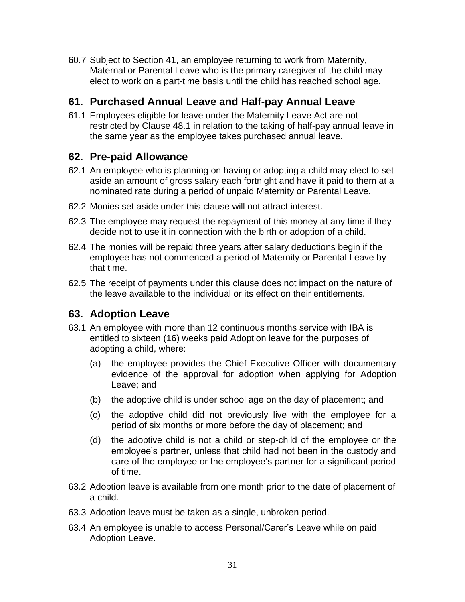60.7 Subject to Section 41, an employee returning to work from Maternity, Maternal or Parental Leave who is the primary caregiver of the child may elect to work on a part-time basis until the child has reached school age.

#### **61. Purchased Annual Leave and Half-pay Annual Leave**

61.1 Employees eligible for leave under the Maternity Leave Act are not restricted by Clause 48.1 in relation to the taking of half-pay annual leave in the same year as the employee takes purchased annual leave.

## **62. Pre-paid Allowance**

- 62.1 An employee who is planning on having or adopting a child may elect to set aside an amount of gross salary each fortnight and have it paid to them at a nominated rate during a period of unpaid Maternity or Parental Leave.
- 62.2 Monies set aside under this clause will not attract interest.
- 62.3 The employee may request the repayment of this money at any time if they decide not to use it in connection with the birth or adoption of a child.
- 62.4 The monies will be repaid three years after salary deductions begin if the employee has not commenced a period of Maternity or Parental Leave by that time.
- 62.5 The receipt of payments under this clause does not impact on the nature of the leave available to the individual or its effect on their entitlements.

### **63. Adoption Leave**

- 63.1 An employee with more than 12 continuous months service with IBA is entitled to sixteen (16) weeks paid Adoption leave for the purposes of adopting a child, where:
	- (a) the employee provides the Chief Executive Officer with documentary evidence of the approval for adoption when applying for Adoption Leave; and
	- (b) the adoptive child is under school age on the day of placement; and
	- (c) the adoptive child did not previously live with the employee for a period of six months or more before the day of placement; and
	- (d) the adoptive child is not a child or step-child of the employee or the employee's partner, unless that child had not been in the custody and care of the employee or the employee's partner for a significant period of time.
- 63.2 Adoption leave is available from one month prior to the date of placement of a child.
- 63.3 Adoption leave must be taken as a single, unbroken period.
- 63.4 An employee is unable to access Personal/Carer's Leave while on paid Adoption Leave.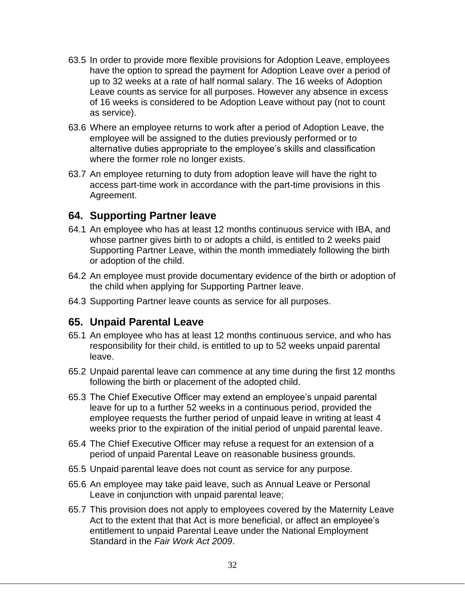- 63.5 In order to provide more flexible provisions for Adoption Leave, employees have the option to spread the payment for Adoption Leave over a period of up to 32 weeks at a rate of half normal salary. The 16 weeks of Adoption Leave counts as service for all purposes. However any absence in excess of 16 weeks is considered to be Adoption Leave without pay (not to count as service).
- 63.6 Where an employee returns to work after a period of Adoption Leave, the employee will be assigned to the duties previously performed or to alternative duties appropriate to the employee's skills and classification where the former role no longer exists.
- 63.7 An employee returning to duty from adoption leave will have the right to access part-time work in accordance with the part-time provisions in this Agreement.

#### **64. Supporting Partner leave**

- 64.1 An employee who has at least 12 months continuous service with IBA, and whose partner gives birth to or adopts a child, is entitled to 2 weeks paid Supporting Partner Leave, within the month immediately following the birth or adoption of the child.
- 64.2 An employee must provide documentary evidence of the birth or adoption of the child when applying for Supporting Partner leave.
- 64.3 Supporting Partner leave counts as service for all purposes.

#### **65. Unpaid Parental Leave**

- 65.1 An employee who has at least 12 months continuous service, and who has responsibility for their child, is entitled to up to 52 weeks unpaid parental leave.
- 65.2 Unpaid parental leave can commence at any time during the first 12 months following the birth or placement of the adopted child.
- 65.3 The Chief Executive Officer may extend an employee's unpaid parental leave for up to a further 52 weeks in a continuous period, provided the employee requests the further period of unpaid leave in writing at least 4 weeks prior to the expiration of the initial period of unpaid parental leave.
- 65.4 The Chief Executive Officer may refuse a request for an extension of a period of unpaid Parental Leave on reasonable business grounds.
- 65.5 Unpaid parental leave does not count as service for any purpose.
- 65.6 An employee may take paid leave, such as Annual Leave or Personal Leave in conjunction with unpaid parental leave;
- 65.7 This provision does not apply to employees covered by the Maternity Leave Act to the extent that that Act is more beneficial, or affect an employee's entitlement to unpaid Parental Leave under the National Employment Standard in the *Fair Work Act 2009*.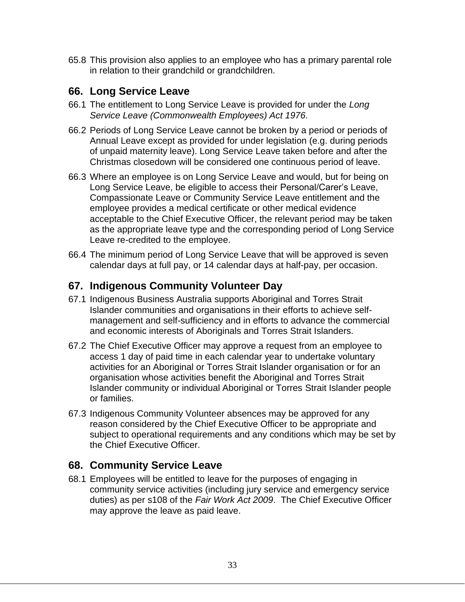65.8 This provision also applies to an employee who has a primary parental role in relation to their grandchild or grandchildren.

## **66. Long Service Leave**

- 66.1 The entitlement to Long Service Leave is provided for under the *Long Service Leave (Commonwealth Employees) Act 1976.*
- 66.2 Periods of Long Service Leave cannot be broken by a period or periods of Annual Leave except as provided for under legislation (e.g. during periods of unpaid maternity leave). Long Service Leave taken before and after the Christmas closedown will be considered one continuous period of leave.
- 66.3 Where an employee is on Long Service Leave and would, but for being on Long Service Leave, be eligible to access their Personal/Carer's Leave, Compassionate Leave or Community Service Leave entitlement and the employee provides a medical certificate or other medical evidence acceptable to the Chief Executive Officer, the relevant period may be taken as the appropriate leave type and the corresponding period of Long Service Leave re-credited to the employee.
- 66.4 The minimum period of Long Service Leave that will be approved is seven calendar days at full pay, or 14 calendar days at half-pay, per occasion.

## **67. Indigenous Community Volunteer Day**

- 67.1 Indigenous Business Australia supports Aboriginal and Torres Strait Islander communities and organisations in their efforts to achieve selfmanagement and self-sufficiency and in efforts to advance the commercial and economic interests of Aboriginals and Torres Strait Islanders.
- 67.2 The Chief Executive Officer may approve a request from an employee to access 1 day of paid time in each calendar year to undertake voluntary activities for an Aboriginal or Torres Strait Islander organisation or for an organisation whose activities benefit the Aboriginal and Torres Strait Islander community or individual Aboriginal or Torres Strait Islander people or families.
- 67.3 Indigenous Community Volunteer absences may be approved for any reason considered by the Chief Executive Officer to be appropriate and subject to operational requirements and any conditions which may be set by the Chief Executive Officer.

### **68. Community Service Leave**

68.1 Employees will be entitled to leave for the purposes of engaging in community service activities (including jury service and emergency service duties) as per s108 of the *Fair Work Act 2009*. The Chief Executive Officer may approve the leave as paid leave.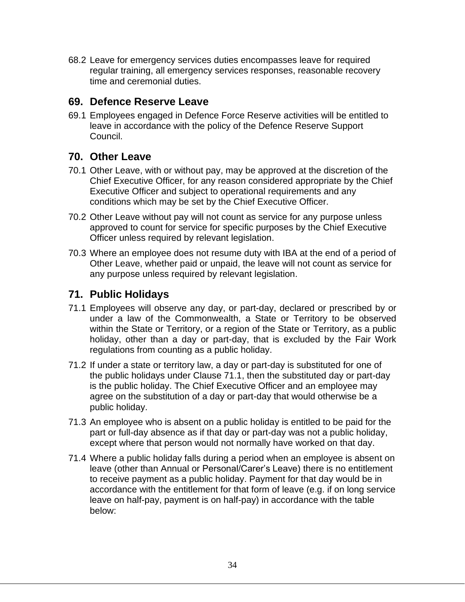68.2 Leave for emergency services duties encompasses leave for required regular training, all emergency services responses, reasonable recovery time and ceremonial duties.

#### **69. Defence Reserve Leave**

69.1 Employees engaged in Defence Force Reserve activities will be entitled to leave in accordance with the policy of the Defence Reserve Support Council.

## **70. Other Leave**

- 70.1 Other Leave, with or without pay, may be approved at the discretion of the Chief Executive Officer, for any reason considered appropriate by the Chief Executive Officer and subject to operational requirements and any conditions which may be set by the Chief Executive Officer.
- 70.2 Other Leave without pay will not count as service for any purpose unless approved to count for service for specific purposes by the Chief Executive Officer unless required by relevant legislation.
- 70.3 Where an employee does not resume duty with IBA at the end of a period of Other Leave, whether paid or unpaid, the leave will not count as service for any purpose unless required by relevant legislation.

## **71. Public Holidays**

- 71.1 Employees will observe any day, or part-day, declared or prescribed by or under a law of the Commonwealth, a State or Territory to be observed within the State or Territory, or a region of the State or Territory, as a public holiday, other than a day or part-day, that is excluded by the Fair Work regulations from counting as a public holiday.
- 71.2 If under a state or territory law, a day or part-day is substituted for one of the public holidays under Clause 71.1, then the substituted day or part-day is the public holiday. The Chief Executive Officer and an employee may agree on the substitution of a day or part-day that would otherwise be a public holiday.
- 71.3 An employee who is absent on a public holiday is entitled to be paid for the part or full-day absence as if that day or part-day was not a public holiday, except where that person would not normally have worked on that day.
- 71.4 Where a public holiday falls during a period when an employee is absent on leave (other than Annual or Personal/Carer's Leave) there is no entitlement to receive payment as a public holiday. Payment for that day would be in accordance with the entitlement for that form of leave (e.g. if on long service leave on half-pay, payment is on half-pay) in accordance with the table below: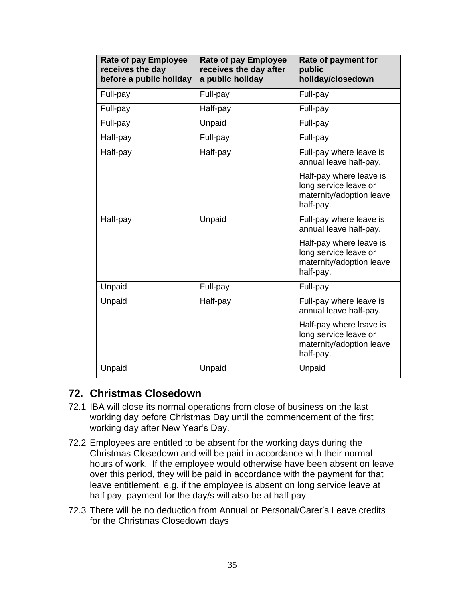| <b>Rate of pay Employee</b><br>receives the day<br>before a public holiday | <b>Rate of pay Employee</b><br>receives the day after<br>a public holiday | Rate of payment for<br>public<br>holiday/closedown                                        |
|----------------------------------------------------------------------------|---------------------------------------------------------------------------|-------------------------------------------------------------------------------------------|
| Full-pay                                                                   | Full-pay                                                                  | Full-pay                                                                                  |
| Full-pay                                                                   | Half-pay                                                                  | Full-pay                                                                                  |
| Full-pay                                                                   | Unpaid                                                                    | Full-pay                                                                                  |
| Half-pay                                                                   | Full-pay                                                                  | Full-pay                                                                                  |
| Half-pay                                                                   | Half-pay                                                                  | Full-pay where leave is<br>annual leave half-pay.                                         |
|                                                                            |                                                                           | Half-pay where leave is<br>long service leave or<br>maternity/adoption leave<br>half-pay. |
| Half-pay                                                                   | Unpaid                                                                    | Full-pay where leave is<br>annual leave half-pay.                                         |
|                                                                            |                                                                           | Half-pay where leave is<br>long service leave or<br>maternity/adoption leave<br>half-pay. |
| Unpaid                                                                     | Full-pay                                                                  | Full-pay                                                                                  |
| Unpaid                                                                     | Half-pay                                                                  | Full-pay where leave is<br>annual leave half-pay.                                         |
|                                                                            |                                                                           | Half-pay where leave is<br>long service leave or<br>maternity/adoption leave<br>half-pay. |
| Unpaid                                                                     | Unpaid                                                                    | Unpaid                                                                                    |

#### **72. Christmas Closedown**

- 72.1 IBA will close its normal operations from close of business on the last working day before Christmas Day until the commencement of the first working day after New Year's Day.
- 72.2 Employees are entitled to be absent for the working days during the Christmas Closedown and will be paid in accordance with their normal hours of work. If the employee would otherwise have been absent on leave over this period, they will be paid in accordance with the payment for that leave entitlement, e.g. if the employee is absent on long service leave at half pay, payment for the day/s will also be at half pay
- 72.3 There will be no deduction from Annual or Personal/Carer's Leave credits for the Christmas Closedown days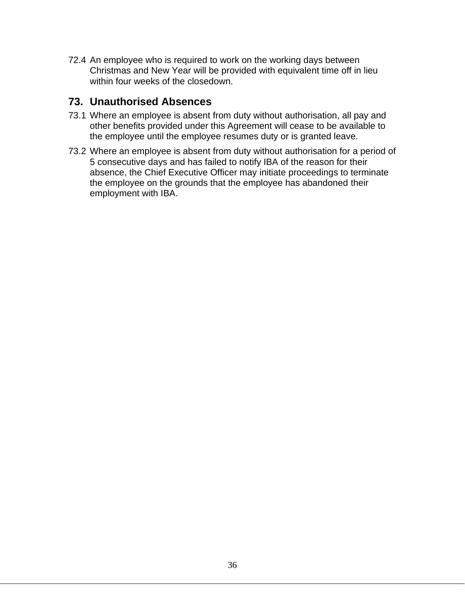72.4 An employee who is required to work on the working days between Christmas and New Year will be provided with equivalent time off in lieu within four weeks of the closedown.

#### **73. Unauthorised Absences**

- 73.1 Where an employee is absent from duty without authorisation, all pay and other benefits provided under this Agreement will cease to be available to the employee until the employee resumes duty or is granted leave.
- 73.2 Where an employee is absent from duty without authorisation for a period of 5 consecutive days and has failed to notify IBA of the reason for their absence, the Chief Executive Officer may initiate proceedings to terminate the employee on the grounds that the employee has abandoned their employment with IBA.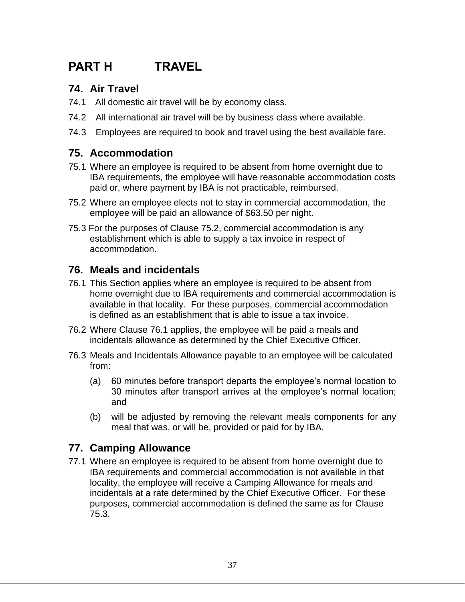## **PART H TRAVEL**

### **74. Air Travel**

- 74.1 All domestic air travel will be by economy class.
- 74.2 All international air travel will be by business class where available.
- 74.3 Employees are required to book and travel using the best available fare.

#### **75. Accommodation**

- 75.1 Where an employee is required to be absent from home overnight due to IBA requirements, the employee will have reasonable accommodation costs paid or, where payment by IBA is not practicable, reimbursed.
- 75.2 Where an employee elects not to stay in commercial accommodation, the employee will be paid an allowance of \$63.50 per night.
- 75.3 For the purposes of Clause 75.2, commercial accommodation is any establishment which is able to supply a tax invoice in respect of accommodation.

#### **76. Meals and incidentals**

- 76.1 This Section applies where an employee is required to be absent from home overnight due to IBA requirements and commercial accommodation is available in that locality. For these purposes, commercial accommodation is defined as an establishment that is able to issue a tax invoice.
- 76.2 Where Clause 76.1 applies, the employee will be paid a meals and incidentals allowance as determined by the Chief Executive Officer.
- 76.3 Meals and Incidentals Allowance payable to an employee will be calculated from:
	- (a) 60 minutes before transport departs the employee's normal location to 30 minutes after transport arrives at the employee's normal location; and
	- (b) will be adjusted by removing the relevant meals components for any meal that was, or will be, provided or paid for by IBA.

## **77. Camping Allowance**

77.1 Where an employee is required to be absent from home overnight due to IBA requirements and commercial accommodation is not available in that locality, the employee will receive a Camping Allowance for meals and incidentals at a rate determined by the Chief Executive Officer. For these purposes, commercial accommodation is defined the same as for Clause 75.3.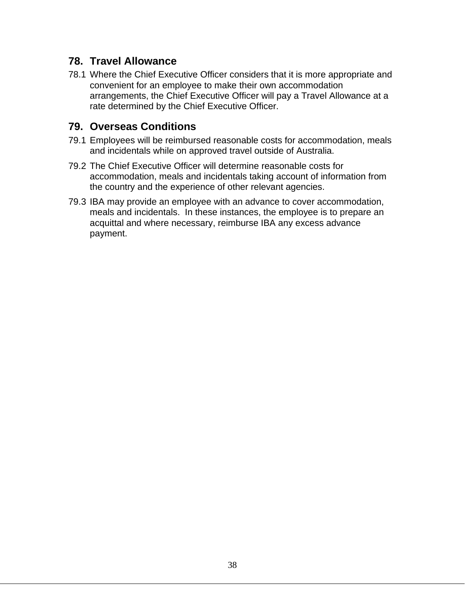#### **78. Travel Allowance**

78.1 Where the Chief Executive Officer considers that it is more appropriate and convenient for an employee to make their own accommodation arrangements, the Chief Executive Officer will pay a Travel Allowance at a rate determined by the Chief Executive Officer.

### **79. Overseas Conditions**

- 79.1 Employees will be reimbursed reasonable costs for accommodation, meals and incidentals while on approved travel outside of Australia.
- 79.2 The Chief Executive Officer will determine reasonable costs for accommodation, meals and incidentals taking account of information from the country and the experience of other relevant agencies.
- 79.3 IBA may provide an employee with an advance to cover accommodation, meals and incidentals. In these instances, the employee is to prepare an acquittal and where necessary, reimburse IBA any excess advance payment.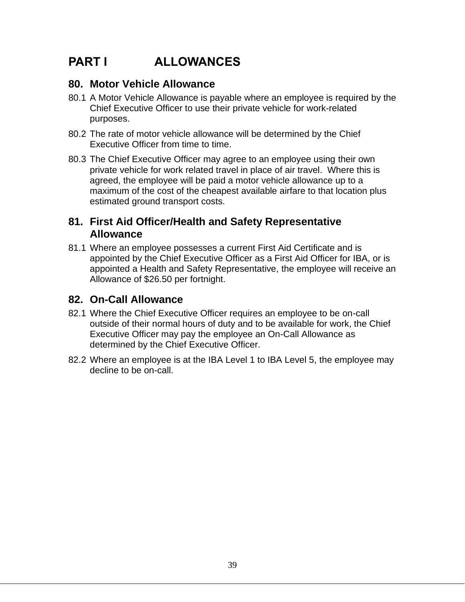## **PART I ALLOWANCES**

### **80. Motor Vehicle Allowance**

- 80.1 A Motor Vehicle Allowance is payable where an employee is required by the Chief Executive Officer to use their private vehicle for work-related purposes.
- 80.2 The rate of motor vehicle allowance will be determined by the Chief Executive Officer from time to time.
- 80.3 The Chief Executive Officer may agree to an employee using their own private vehicle for work related travel in place of air travel. Where this is agreed, the employee will be paid a motor vehicle allowance up to a maximum of the cost of the cheapest available airfare to that location plus estimated ground transport costs.

#### **81. First Aid Officer/Health and Safety Representative Allowance**

81.1 Where an employee possesses a current First Aid Certificate and is appointed by the Chief Executive Officer as a First Aid Officer for IBA, or is appointed a Health and Safety Representative, the employee will receive an Allowance of \$26.50 per fortnight.

### **82. On-Call Allowance**

- 82.1 Where the Chief Executive Officer requires an employee to be on-call outside of their normal hours of duty and to be available for work, the Chief Executive Officer may pay the employee an On-Call Allowance as determined by the Chief Executive Officer.
- 82.2 Where an employee is at the IBA Level 1 to IBA Level 5, the employee may decline to be on-call.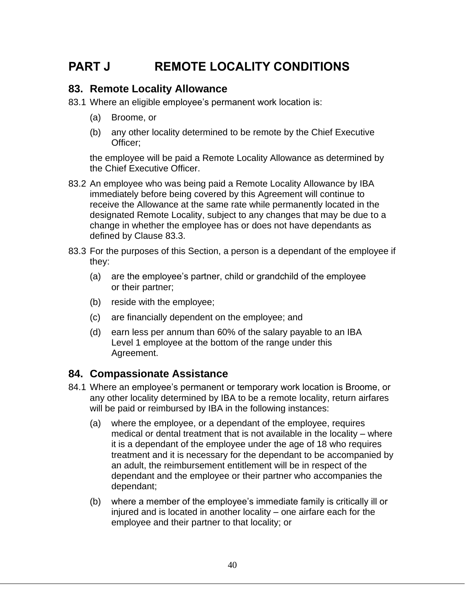## **PART J REMOTE LOCALITY CONDITIONS**

#### **83. Remote Locality Allowance**

83.1 Where an eligible employee's permanent work location is:

- (a) Broome, or
- (b) any other locality determined to be remote by the Chief Executive Officer;

the employee will be paid a Remote Locality Allowance as determined by the Chief Executive Officer.

- 83.2 An employee who was being paid a Remote Locality Allowance by IBA immediately before being covered by this Agreement will continue to receive the Allowance at the same rate while permanently located in the designated Remote Locality, subject to any changes that may be due to a change in whether the employee has or does not have dependants as defined by Clause 83.3.
- 83.3 For the purposes of this Section, a person is a dependant of the employee if they:
	- (a) are the employee's partner, child or grandchild of the employee or their partner;
	- (b) reside with the employee;
	- (c) are financially dependent on the employee; and
	- (d) earn less per annum than 60% of the salary payable to an IBA Level 1 employee at the bottom of the range under this Agreement.

### **84. Compassionate Assistance**

- 84.1 Where an employee's permanent or temporary work location is Broome, or any other locality determined by IBA to be a remote locality, return airfares will be paid or reimbursed by IBA in the following instances:
	- (a) where the employee, or a dependant of the employee, requires medical or dental treatment that is not available in the locality – where it is a dependant of the employee under the age of 18 who requires treatment and it is necessary for the dependant to be accompanied by an adult, the reimbursement entitlement will be in respect of the dependant and the employee or their partner who accompanies the dependant;
	- (b) where a member of the employee's immediate family is critically ill or injured and is located in another locality – one airfare each for the employee and their partner to that locality; or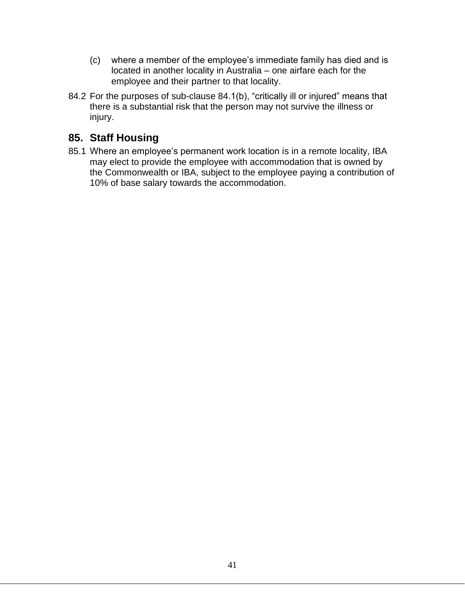- (c) where a member of the employee's immediate family has died and is located in another locality in Australia – one airfare each for the employee and their partner to that locality.
- 84.2 For the purposes of sub-clause 84.1(b), "critically ill or injured" means that there is a substantial risk that the person may not survive the illness or injury.

## **85. Staff Housing**

85.1 Where an employee's permanent work location is in a remote locality, IBA may elect to provide the employee with accommodation that is owned by the Commonwealth or IBA, subject to the employee paying a contribution of 10% of base salary towards the accommodation.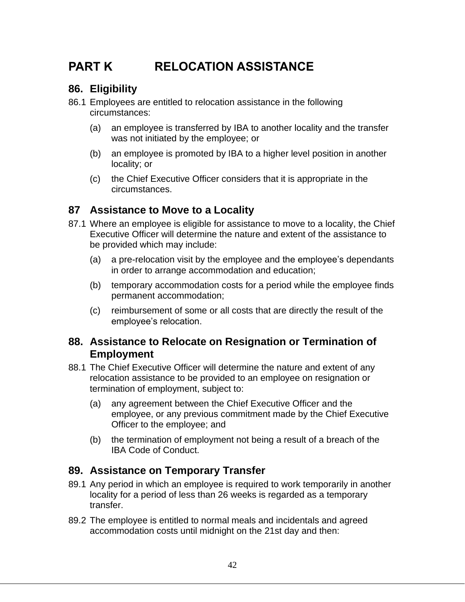## **PART K RELOCATION ASSISTANCE**

## **86. Eligibility**

- 86.1 Employees are entitled to relocation assistance in the following circumstances:
	- (a) an employee is transferred by IBA to another locality and the transfer was not initiated by the employee; or
	- (b) an employee is promoted by IBA to a higher level position in another locality; or
	- (c) the Chief Executive Officer considers that it is appropriate in the circumstances.

### **87 Assistance to Move to a Locality**

- 87.1 Where an employee is eligible for assistance to move to a locality, the Chief Executive Officer will determine the nature and extent of the assistance to be provided which may include:
	- (a) a pre-relocation visit by the employee and the employee's dependants in order to arrange accommodation and education;
	- (b) temporary accommodation costs for a period while the employee finds permanent accommodation;
	- (c) reimbursement of some or all costs that are directly the result of the employee's relocation.

#### **88. Assistance to Relocate on Resignation or Termination of Employment**

- 88.1 The Chief Executive Officer will determine the nature and extent of any relocation assistance to be provided to an employee on resignation or termination of employment, subject to:
	- (a) any agreement between the Chief Executive Officer and the employee, or any previous commitment made by the Chief Executive Officer to the employee; and
	- (b) the termination of employment not being a result of a breach of the IBA Code of Conduct.

#### **89. Assistance on Temporary Transfer**

- 89.1 Any period in which an employee is required to work temporarily in another locality for a period of less than 26 weeks is regarded as a temporary transfer.
- 89.2 The employee is entitled to normal meals and incidentals and agreed accommodation costs until midnight on the 21st day and then: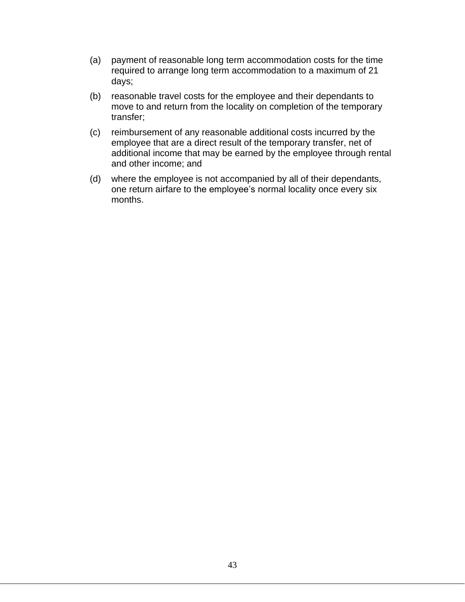- (a) payment of reasonable long term accommodation costs for the time required to arrange long term accommodation to a maximum of 21 days;
- (b) reasonable travel costs for the employee and their dependants to move to and return from the locality on completion of the temporary transfer;
- (c) reimbursement of any reasonable additional costs incurred by the employee that are a direct result of the temporary transfer, net of additional income that may be earned by the employee through rental and other income; and
- (d) where the employee is not accompanied by all of their dependants, one return airfare to the employee's normal locality once every six months.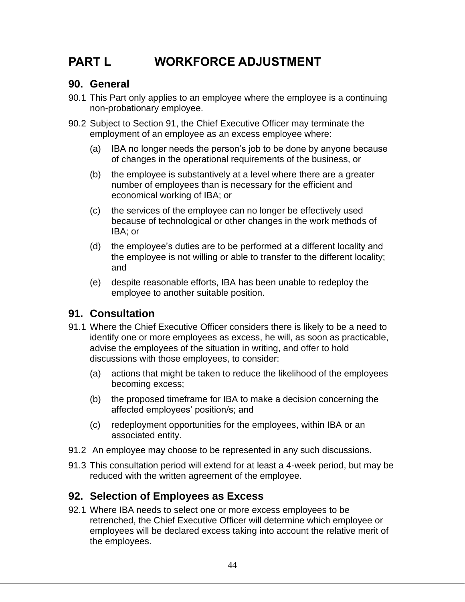## **PART L WORKFORCE ADJUSTMENT**

### **90. General**

- 90.1 This Part only applies to an employee where the employee is a continuing non-probationary employee.
- 90.2 Subject to Section 91, the Chief Executive Officer may terminate the employment of an employee as an excess employee where:
	- (a) IBA no longer needs the person's job to be done by anyone because of changes in the operational requirements of the business, or
	- (b) the employee is substantively at a level where there are a greater number of employees than is necessary for the efficient and economical working of IBA; or
	- (c) the services of the employee can no longer be effectively used because of technological or other changes in the work methods of IBA; or
	- (d) the employee's duties are to be performed at a different locality and the employee is not willing or able to transfer to the different locality; and
	- (e) despite reasonable efforts, IBA has been unable to redeploy the employee to another suitable position.

### **91. Consultation**

- 91.1 Where the Chief Executive Officer considers there is likely to be a need to identify one or more employees as excess, he will, as soon as practicable, advise the employees of the situation in writing, and offer to hold discussions with those employees, to consider:
	- (a) actions that might be taken to reduce the likelihood of the employees becoming excess;
	- (b) the proposed timeframe for IBA to make a decision concerning the affected employees' position/s; and
	- (c) redeployment opportunities for the employees, within IBA or an associated entity.
- 91.2 An employee may choose to be represented in any such discussions.
- 91.3 This consultation period will extend for at least a 4-week period, but may be reduced with the written agreement of the employee.

## **92. Selection of Employees as Excess**

92.1 Where IBA needs to select one or more excess employees to be retrenched, the Chief Executive Officer will determine which employee or employees will be declared excess taking into account the relative merit of the employees.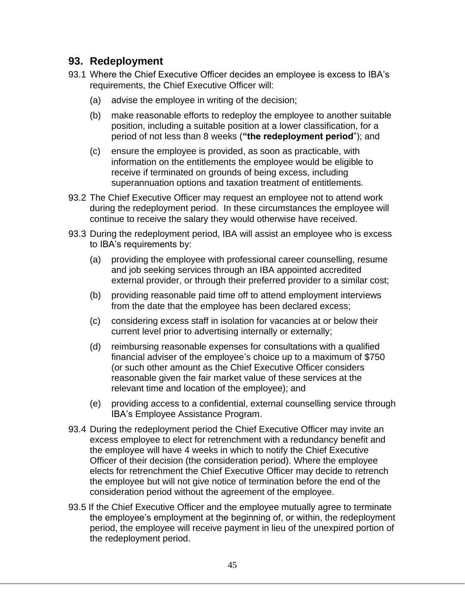#### **93. Redeployment**

- 93.1 Where the Chief Executive Officer decides an employee is excess to IBA's requirements, the Chief Executive Officer will:
	- (a) advise the employee in writing of the decision;
	- (b) make reasonable efforts to redeploy the employee to another suitable position, including a suitable position at a lower classification, for a period of not less than 8 weeks (**"the redeployment period**"); and
	- (c) ensure the employee is provided, as soon as practicable, with information on the entitlements the employee would be eligible to receive if terminated on grounds of being excess, including superannuation options and taxation treatment of entitlements.
- 93.2 The Chief Executive Officer may request an employee not to attend work during the redeployment period. In these circumstances the employee will continue to receive the salary they would otherwise have received.
- 93.3 During the redeployment period, IBA will assist an employee who is excess to IBA's requirements by:
	- (a) providing the employee with professional career counselling, resume and job seeking services through an IBA appointed accredited external provider, or through their preferred provider to a similar cost;
	- (b) providing reasonable paid time off to attend employment interviews from the date that the employee has been declared excess;
	- (c) considering excess staff in isolation for vacancies at or below their current level prior to advertising internally or externally;
	- (d) reimbursing reasonable expenses for consultations with a qualified financial adviser of the employee's choice up to a maximum of \$750 (or such other amount as the Chief Executive Officer considers reasonable given the fair market value of these services at the relevant time and location of the employee); and
	- (e) providing access to a confidential, external counselling service through IBA's Employee Assistance Program.
- 93.4 During the redeployment period the Chief Executive Officer may invite an excess employee to elect for retrenchment with a redundancy benefit and the employee will have 4 weeks in which to notify the Chief Executive Officer of their decision (the consideration period). Where the employee elects for retrenchment the Chief Executive Officer may decide to retrench the employee but will not give notice of termination before the end of the consideration period without the agreement of the employee.
- 93.5 If the Chief Executive Officer and the employee mutually agree to terminate the employee's employment at the beginning of, or within, the redeployment period, the employee will receive payment in lieu of the unexpired portion of the redeployment period.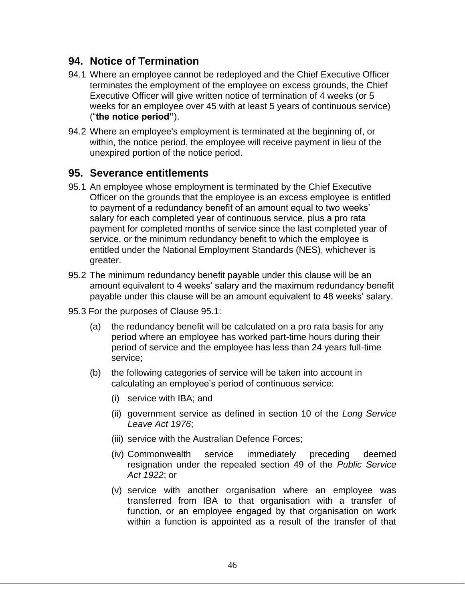#### **94. Notice of Termination**

- 94.1 Where an employee cannot be redeployed and the Chief Executive Officer terminates the employment of the employee on excess grounds, the Chief Executive Officer will give written notice of termination of 4 weeks (or 5 weeks for an employee over 45 with at least 5 years of continuous service) ("**the notice period"**).
- 94.2 Where an employee's employment is terminated at the beginning of, or within, the notice period, the employee will receive payment in lieu of the unexpired portion of the notice period.

#### **95. Severance entitlements**

- 95.1 An employee whose employment is terminated by the Chief Executive Officer on the grounds that the employee is an excess employee is entitled to payment of a redundancy benefit of an amount equal to two weeks' salary for each completed year of continuous service, plus a pro rata payment for completed months of service since the last completed year of service, or the minimum redundancy benefit to which the employee is entitled under the National Employment Standards (NES), whichever is greater.
- 95.2 The minimum redundancy benefit payable under this clause will be an amount equivalent to 4 weeks' salary and the maximum redundancy benefit payable under this clause will be an amount equivalent to 48 weeks' salary.
- 95.3 For the purposes of Clause 95.1:
	- (a) the redundancy benefit will be calculated on a pro rata basis for any period where an employee has worked part-time hours during their period of service and the employee has less than 24 years full-time service;
	- (b) the following categories of service will be taken into account in calculating an employee's period of continuous service:
		- (i) service with IBA; and
		- (ii) government service as defined in section 10 of the *Long Service Leave Act 1976*;
		- (iii) service with the Australian Defence Forces;
		- (iv) Commonwealth service immediately preceding deemed resignation under the repealed section 49 of the *Public Service Act 1922*; or
		- (v) service with another organisation where an employee was transferred from IBA to that organisation with a transfer of function, or an employee engaged by that organisation on work within a function is appointed as a result of the transfer of that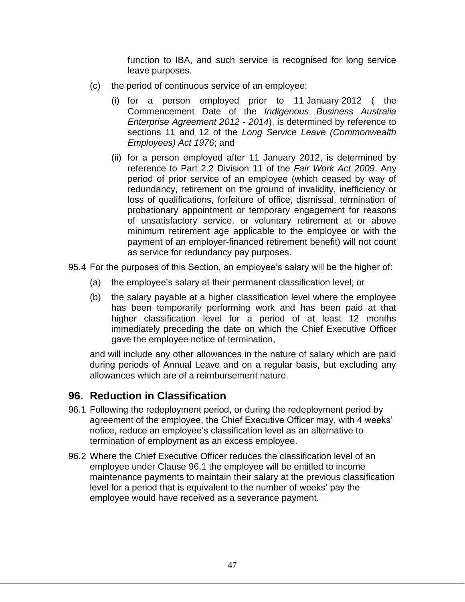function to IBA, and such service is recognised for long service leave purposes.

- (c) the period of continuous service of an employee:
	- (i) for a person employed prior to 11 January 2012 ( the Commencement Date of the *Indigenous Business Australia Enterprise Agreement 2012 - 2014*), is determined by reference to sections 11 and 12 of the *Long Service Leave (Commonwealth Employees) Act 1976*; and
	- (ii) for a person employed after 11 January 2012, is determined by reference to Part 2.2 Division 11 of the *Fair Work Act 2009*. Any period of prior service of an employee (which ceased by way of redundancy, retirement on the ground of invalidity, inefficiency or loss of qualifications, forfeiture of office, dismissal, termination of probationary appointment or temporary engagement for reasons of unsatisfactory service, or voluntary retirement at or above minimum retirement age applicable to the employee or with the payment of an employer-financed retirement benefit) will not count as service for redundancy pay purposes.
- 95.4 For the purposes of this Section, an employee's salary will be the higher of:
	- (a) the employee's salary at their permanent classification level; or
	- (b) the salary payable at a higher classification level where the employee has been temporarily performing work and has been paid at that higher classification level for a period of at least 12 months immediately preceding the date on which the Chief Executive Officer gave the employee notice of termination,

and will include any other allowances in the nature of salary which are paid during periods of Annual Leave and on a regular basis, but excluding any allowances which are of a reimbursement nature.

### **96. Reduction in Classification**

- 96.1 Following the redeployment period, or during the redeployment period by agreement of the employee, the Chief Executive Officer may, with 4 weeks' notice, reduce an employee's classification level as an alternative to termination of employment as an excess employee.
- 96.2 Where the Chief Executive Officer reduces the classification level of an employee under Clause 96.1 the employee will be entitled to income maintenance payments to maintain their salary at the previous classification level for a period that is equivalent to the number of weeks' pay the employee would have received as a severance payment.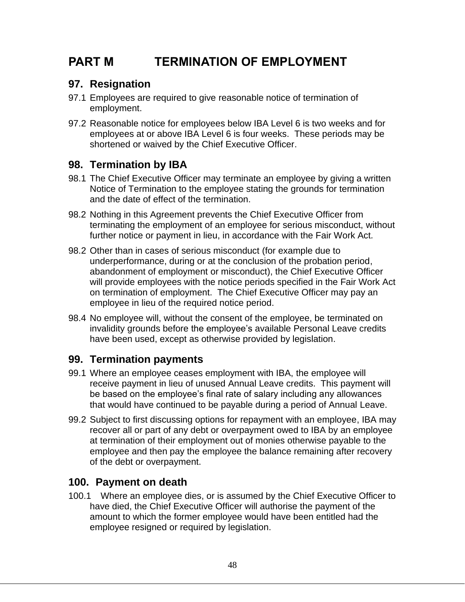## **PART M TERMINATION OF EMPLOYMENT**

## **97. Resignation**

- 97.1 Employees are required to give reasonable notice of termination of employment.
- 97.2 Reasonable notice for employees below IBA Level 6 is two weeks and for employees at or above IBA Level 6 is four weeks. These periods may be shortened or waived by the Chief Executive Officer.

## **98. Termination by IBA**

- 98.1 The Chief Executive Officer may terminate an employee by giving a written Notice of Termination to the employee stating the grounds for termination and the date of effect of the termination.
- 98.2 Nothing in this Agreement prevents the Chief Executive Officer from terminating the employment of an employee for serious misconduct, without further notice or payment in lieu, in accordance with the Fair Work Act*.*
- 98.2 Other than in cases of serious misconduct (for example due to underperformance, during or at the conclusion of the probation period, abandonment of employment or misconduct), the Chief Executive Officer will provide employees with the notice periods specified in the Fair Work Act on termination of employment. The Chief Executive Officer may pay an employee in lieu of the required notice period.
- 98.4 No employee will, without the consent of the employee, be terminated on invalidity grounds before the employee's available Personal Leave credits have been used, except as otherwise provided by legislation.

### **99. Termination payments**

- 99.1 Where an employee ceases employment with IBA, the employee will receive payment in lieu of unused Annual Leave credits. This payment will be based on the employee's final rate of salary including any allowances that would have continued to be payable during a period of Annual Leave.
- 99.2 Subject to first discussing options for repayment with an employee, IBA may recover all or part of any debt or overpayment owed to IBA by an employee at termination of their employment out of monies otherwise payable to the employee and then pay the employee the balance remaining after recovery of the debt or overpayment.

### **100. Payment on death**

100.1 Where an employee dies, or is assumed by the Chief Executive Officer to have died, the Chief Executive Officer will authorise the payment of the amount to which the former employee would have been entitled had the employee resigned or required by legislation.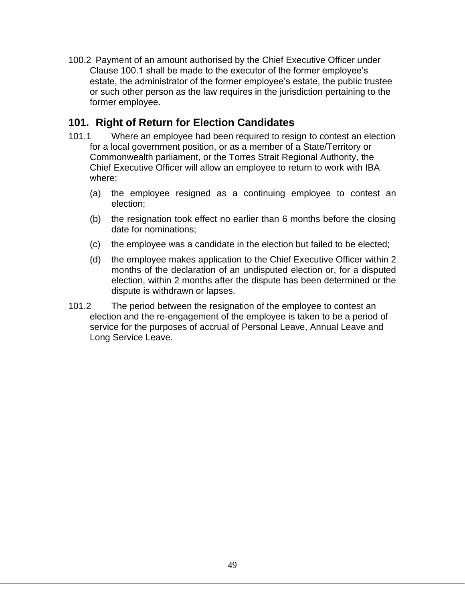100.2 Payment of an amount authorised by the Chief Executive Officer under Clause 100.1 shall be made to the executor of the former employee's estate, the administrator of the former employee's estate, the public trustee or such other person as the law requires in the jurisdiction pertaining to the former employee.

### **101. Right of Return for Election Candidates**

- 101.1 Where an employee had been required to resign to contest an election for a local government position, or as a member of a State/Territory or Commonwealth parliament, or the Torres Strait Regional Authority, the Chief Executive Officer will allow an employee to return to work with IBA where:
	- (a) the employee resigned as a continuing employee to contest an election;
	- (b) the resignation took effect no earlier than 6 months before the closing date for nominations;
	- (c) the employee was a candidate in the election but failed to be elected;
	- (d) the employee makes application to the Chief Executive Officer within 2 months of the declaration of an undisputed election or, for a disputed election, within 2 months after the dispute has been determined or the dispute is withdrawn or lapses.
- 101.2 The period between the resignation of the employee to contest an election and the re-engagement of the employee is taken to be a period of service for the purposes of accrual of Personal Leave, Annual Leave and Long Service Leave.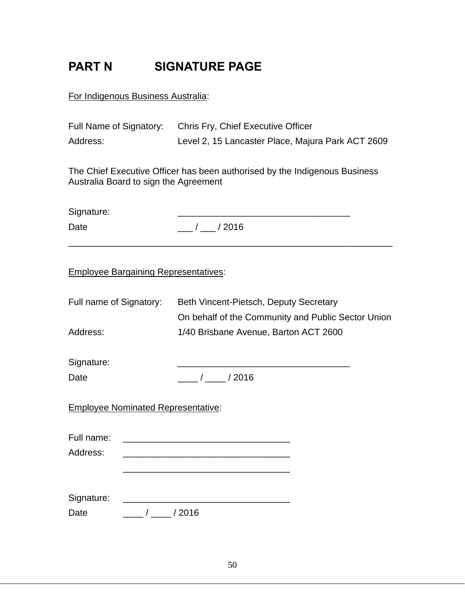## **PART N SIGNATURE PAGE**

For Indigenous Business Australia:

| Address:                                                                                                            |            | Full Name of Signatory: Chris Fry, Chief Executive Officer<br>Level 2, 15 Lancaster Place, Majura Park ACT 2609 |  |  |  |
|---------------------------------------------------------------------------------------------------------------------|------------|-----------------------------------------------------------------------------------------------------------------|--|--|--|
| The Chief Executive Officer has been authorised by the Indigenous Business<br>Australia Board to sign the Agreement |            |                                                                                                                 |  |  |  |
| Signature:                                                                                                          |            |                                                                                                                 |  |  |  |
| Date                                                                                                                |            | $\frac{1}{2}$ / $\frac{1}{2016}$                                                                                |  |  |  |
| <b>Employee Bargaining Representatives:</b>                                                                         |            |                                                                                                                 |  |  |  |
| Full name of Signatory:                                                                                             |            | Beth Vincent-Pietsch, Deputy Secretary<br>On behalf of the Community and Public Sector Union                    |  |  |  |
| Address:                                                                                                            |            | 1/40 Brisbane Avenue, Barton ACT 2600                                                                           |  |  |  |
| Signature:<br>Date                                                                                                  |            | $\frac{1}{\sqrt{2016}}$                                                                                         |  |  |  |
| <b>Employee Nominated Representative:</b>                                                                           |            |                                                                                                                 |  |  |  |
| Full name:<br>Address:                                                                                              |            |                                                                                                                 |  |  |  |
| Signature:<br>Date                                                                                                  | $\sqrt{2}$ | /2016                                                                                                           |  |  |  |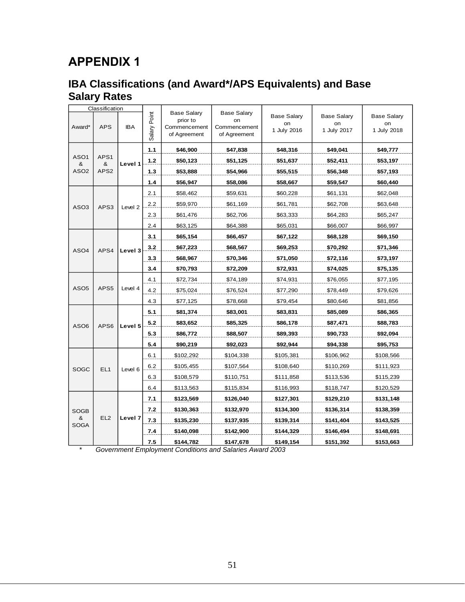## **APPENDIX 1**

## **IBA Classifications (and Award\*/APS Equivalents) and Base Salary Rates**

|                       | Classification           |         |                 |                                                                |                                                          |                                         |                                         |                                         |           |           |
|-----------------------|--------------------------|---------|-----------------|----------------------------------------------------------------|----------------------------------------------------------|-----------------------------------------|-----------------------------------------|-----------------------------------------|-----------|-----------|
| Award*                | <b>APS</b><br><b>IBA</b> |         | Point<br>Salary | <b>Base Salary</b><br>prior to<br>Commencement<br>of Agreement | <b>Base Salary</b><br>on<br>Commencement<br>of Agreement | <b>Base Salary</b><br>on<br>1 July 2016 | <b>Base Salary</b><br>on<br>1 July 2017 | <b>Base Salary</b><br>on<br>1 July 2018 |           |           |
|                       |                          |         | 1.1             | \$46,900                                                       | \$47,838                                                 | \$48,316                                | \$49,041                                | \$49,777                                |           |           |
| ASO <sub>1</sub><br>& | APS1<br>&                | Level 1 | $1.2$           | \$50,123                                                       | \$51,125                                                 | \$51,637                                | \$52,411                                | \$53,197                                |           |           |
| ASO <sub>2</sub>      | APS2                     |         | 1.3             | \$53,888                                                       | \$54,966                                                 | \$55,515                                | \$56,348                                | \$57,193                                |           |           |
|                       |                          |         | 1.4             | \$56,947                                                       | \$58,086                                                 | \$58,667                                | \$59,547                                | \$60,440                                |           |           |
|                       |                          |         | 2.1             | \$58,462                                                       | \$59,631                                                 | \$60,228                                | \$61,131                                | \$62,048                                |           |           |
| ASO <sub>3</sub>      | APS3                     | Level 2 | 2.2             | \$59,970                                                       | \$61,169                                                 | \$61,781                                | \$62,708                                | \$63,648                                |           |           |
|                       |                          |         | 2.3             | \$61,476                                                       | \$62,706                                                 | \$63,333                                | \$64,283                                | \$65,247                                |           |           |
|                       |                          |         | 2.4             | \$63,125                                                       | \$64,388                                                 | \$65,031                                | \$66,007                                | \$66,997                                |           |           |
|                       |                          |         | 3.1             | \$65,154                                                       | \$66,457                                                 | \$67,122                                | \$68,128                                | \$69,150                                |           |           |
| ASO4                  | APS4                     | Level 3 | 3.2             | \$67,223                                                       | \$68,567                                                 | \$69,253                                | \$70,292                                | \$71,346                                |           |           |
|                       |                          |         | 3.3             | \$68,967                                                       | \$70,346                                                 | \$71,050                                | \$72,116                                | \$73,197                                |           |           |
|                       |                          |         | 3.4             | \$70,793                                                       | \$72,209                                                 | \$72,931                                | \$74,025                                | \$75,135                                |           |           |
|                       | APS5                     | Level 4 | 4.1             | \$72,734                                                       | \$74,189                                                 | \$74,931                                | \$76,055                                | \$77,195                                |           |           |
| ASO <sub>5</sub>      |                          |         | 4.2             | \$75,024                                                       | \$76,524                                                 | \$77,290                                | \$78,449                                | \$79,626                                |           |           |
|                       |                          |         | 4.3             | \$77,125                                                       | \$78,668                                                 | \$79,454                                | \$80,646                                | \$81,856                                |           |           |
|                       | APS6                     | Level 5 | 5.1             | \$81,374                                                       | \$83,001                                                 | \$83,831                                | \$85,089                                | \$86,365                                |           |           |
| ASO <sub>6</sub>      |                          |         | 5.2             | \$83,652                                                       | \$85,325                                                 | \$86,178                                | \$87,471                                | \$88,783                                |           |           |
|                       |                          |         | 5.3             | \$86,772                                                       | \$88,507                                                 | \$89,393                                | \$90,733                                | \$92,094                                |           |           |
|                       |                          |         | 5.4             | \$90,219                                                       | \$92,023                                                 | \$92,944                                | \$94,338                                | \$95,753                                |           |           |
|                       |                          |         | 6.1             | \$102,292                                                      | \$104,338                                                | \$105,381                               | \$106,962                               | \$108,566                               |           |           |
| SOGC                  | EL <sub>1</sub>          | Level 6 | 6.2             | \$105,455                                                      | \$107,564                                                | \$108,640                               | \$110,269                               | \$111,923                               |           |           |
|                       |                          |         | 6.3             | \$108,579                                                      | \$110,751                                                | \$111,858                               | \$113,536                               | \$115,239                               |           |           |
|                       |                          |         | 6.4             | \$113,563                                                      | \$115,834                                                | \$116,993                               | \$118,747                               | \$120,529                               |           |           |
|                       |                          | Level 7 | 7.1             | \$123,569                                                      | \$126,040                                                | \$127,301                               | \$129,210                               | \$131,148                               |           |           |
| SOGB                  |                          |         | 7.2             | \$130,363                                                      | \$132,970                                                | \$134,300                               | \$136,314                               | \$138,359                               |           |           |
| &                     | EL <sub>2</sub>          |         | 7.3             | \$135,230                                                      | \$137,935                                                | \$139,314                               | \$141,404                               | \$143,525                               |           |           |
| SOGA                  |                          |         | 7.4             | \$140,098                                                      | \$142,900                                                | \$144,329                               | \$146,494                               | \$148,691                               |           |           |
|                       |                          |         |                 |                                                                |                                                          |                                         | 7.5                                     | \$144,782                               | \$147,678 | \$149,154 |

*\* Government Employment Conditions and Salaries Award 2003*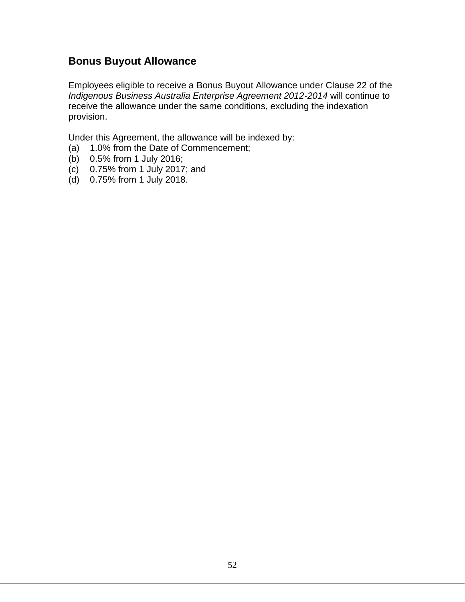## **Bonus Buyout Allowance**

Employees eligible to receive a Bonus Buyout Allowance under Clause 22 of the *Indigenous Business Australia Enterprise Agreement 2012-2014* will continue to receive the allowance under the same conditions, excluding the indexation provision.

Under this Agreement, the allowance will be indexed by:

- (a) 1.0% from the Date of Commencement;
- (b) 0.5% from 1 July 2016;
- (c) 0.75% from 1 July 2017; and
- (d) 0.75% from 1 July 2018.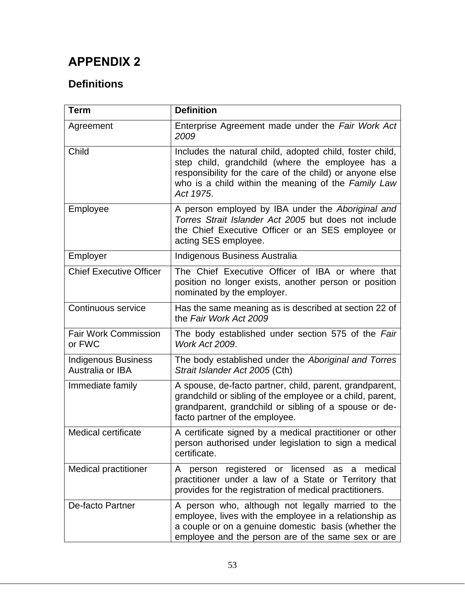## **APPENDIX 2**

## **Definitions**

| <b>Term</b>                             | <b>Definition</b>                                                                                                                                                                                                                            |
|-----------------------------------------|----------------------------------------------------------------------------------------------------------------------------------------------------------------------------------------------------------------------------------------------|
| Agreement                               | Enterprise Agreement made under the Fair Work Act<br>2009                                                                                                                                                                                    |
| Child                                   | Includes the natural child, adopted child, foster child,<br>step child, grandchild (where the employee has a<br>responsibility for the care of the child) or anyone else<br>who is a child within the meaning of the Family Law<br>Act 1975. |
| Employee                                | A person employed by IBA under the Aboriginal and<br>Torres Strait Islander Act 2005 but does not include<br>the Chief Executive Officer or an SES employee or<br>acting SES employee.                                                       |
| Employer                                | Indigenous Business Australia                                                                                                                                                                                                                |
| <b>Chief Executive Officer</b>          | The Chief Executive Officer of IBA or where that<br>position no longer exists, another person or position<br>nominated by the employer.                                                                                                      |
| Continuous service                      | Has the same meaning as is described at section 22 of<br>the Fair Work Act 2009                                                                                                                                                              |
| <b>Fair Work Commission</b><br>or FWC   | The body established under section 575 of the Fair<br><b>Work Act 2009.</b>                                                                                                                                                                  |
| Indigenous Business<br>Australia or IBA | The body established under the Aboriginal and Torres<br>Strait Islander Act 2005 (Cth)                                                                                                                                                       |
| Immediate family                        | A spouse, de-facto partner, child, parent, grandparent,<br>grandchild or sibling of the employee or a child, parent,<br>grandparent, grandchild or sibling of a spouse or de-<br>facto partner of the employee.                              |
| <b>Medical certificate</b>              | A certificate signed by a medical practitioner or other<br>person authorised under legislation to sign a medical<br>certificate.                                                                                                             |
| <b>Medical practitioner</b>             | registered or licensed<br>medical<br>as<br>A<br>person<br>a<br>practitioner under a law of a State or Territory that<br>provides for the registration of medical practitioners.                                                              |
| De-facto Partner                        | A person who, although not legally married to the<br>employee, lives with the employee in a relationship as<br>a couple or on a genuine domestic basis (whether the<br>employee and the person are of the same sex or are                    |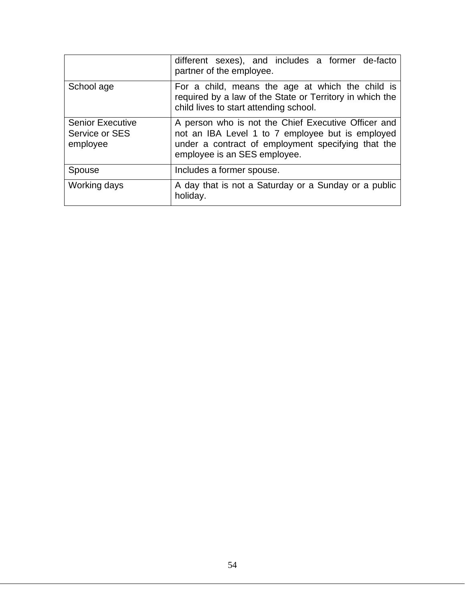|                                                       | different sexes), and includes a former de-facto<br>partner of the employee.                                                                                                                  |  |  |  |  |  |  |
|-------------------------------------------------------|-----------------------------------------------------------------------------------------------------------------------------------------------------------------------------------------------|--|--|--|--|--|--|
| School age                                            | For a child, means the age at which the child is<br>required by a law of the State or Territory in which the<br>child lives to start attending school.                                        |  |  |  |  |  |  |
| <b>Senior Executive</b><br>Service or SES<br>employee | A person who is not the Chief Executive Officer and<br>not an IBA Level 1 to 7 employee but is employed<br>under a contract of employment specifying that the<br>employee is an SES employee. |  |  |  |  |  |  |
| Spouse                                                | Includes a former spouse.                                                                                                                                                                     |  |  |  |  |  |  |
| Working days                                          | A day that is not a Saturday or a Sunday or a public<br>holiday.                                                                                                                              |  |  |  |  |  |  |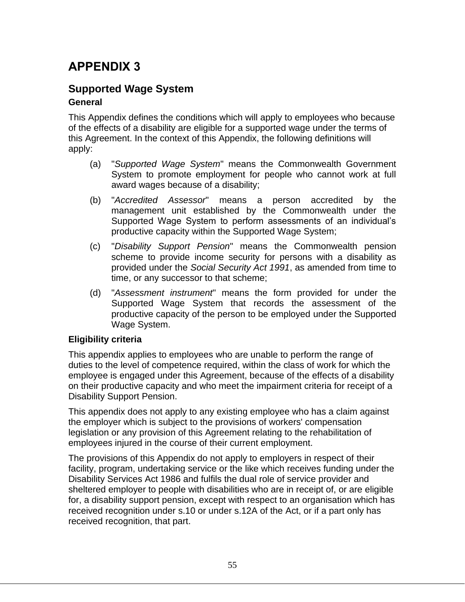## **APPENDIX 3**

#### **Supported Wage System General**

This Appendix defines the conditions which will apply to employees who because of the effects of a disability are eligible for a supported wage under the terms of this Agreement. In the context of this Appendix, the following definitions will apply:

- (a) "*Supported Wage System*" means the Commonwealth Government System to promote employment for people who cannot work at full award wages because of a disability;
- (b) "*Accredited Assessor*" means a person accredited by the management unit established by the Commonwealth under the Supported Wage System to perform assessments of an individual's productive capacity within the Supported Wage System;
- (c) "*Disability Support Pension*" means the Commonwealth pension scheme to provide income security for persons with a disability as provided under the *Social Security Act 1991*, as amended from time to time, or any successor to that scheme;
- (d) "*Assessment instrument*" means the form provided for under the Supported Wage System that records the assessment of the productive capacity of the person to be employed under the Supported Wage System.

#### **Eligibility criteria**

This appendix applies to employees who are unable to perform the range of duties to the level of competence required, within the class of work for which the employee is engaged under this Agreement, because of the effects of a disability on their productive capacity and who meet the impairment criteria for receipt of a Disability Support Pension.

This appendix does not apply to any existing employee who has a claim against the employer which is subject to the provisions of workers' compensation legislation or any provision of this Agreement relating to the rehabilitation of employees injured in the course of their current employment.

The provisions of this Appendix do not apply to employers in respect of their facility, program, undertaking service or the like which receives funding under the Disability Services Act 1986 and fulfils the dual role of service provider and sheltered employer to people with disabilities who are in receipt of, or are eligible for, a disability support pension, except with respect to an organisation which has received recognition under s.10 or under s.12A of the Act, or if a part only has received recognition, that part.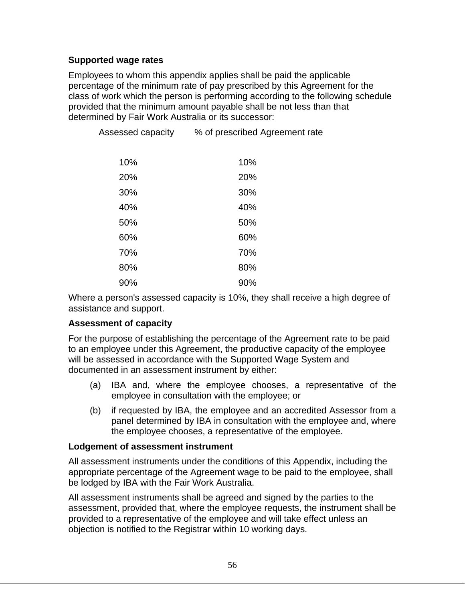#### **Supported wage rates**

Employees to whom this appendix applies shall be paid the applicable percentage of the minimum rate of pay prescribed by this Agreement for the class of work which the person is performing according to the following schedule provided that the minimum amount payable shall be not less than that determined by Fair Work Australia or its successor:

| 10% | 10% |
|-----|-----|
| 20% | 20% |
| 30% | 30% |
| 40% | 40% |
| 50% | 50% |
| 60% | 60% |
| 70% | 70% |
| 80% | 80% |
| 90% | 90% |

Assessed capacity % of prescribed Agreement rate

Where a person's assessed capacity is 10%, they shall receive a high degree of assistance and support.

#### **Assessment of capacity**

For the purpose of establishing the percentage of the Agreement rate to be paid to an employee under this Agreement, the productive capacity of the employee will be assessed in accordance with the Supported Wage System and documented in an assessment instrument by either:

- (a) IBA and, where the employee chooses, a representative of the employee in consultation with the employee; or
- (b) if requested by IBA, the employee and an accredited Assessor from a panel determined by IBA in consultation with the employee and, where the employee chooses, a representative of the employee.

#### **Lodgement of assessment instrument**

All assessment instruments under the conditions of this Appendix, including the appropriate percentage of the Agreement wage to be paid to the employee, shall be lodged by IBA with the Fair Work Australia.

All assessment instruments shall be agreed and signed by the parties to the assessment, provided that, where the employee requests, the instrument shall be provided to a representative of the employee and will take effect unless an objection is notified to the Registrar within 10 working days.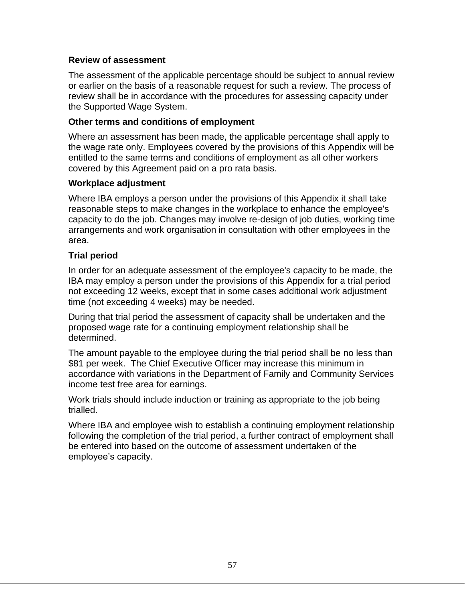#### **Review of assessment**

The assessment of the applicable percentage should be subject to annual review or earlier on the basis of a reasonable request for such a review. The process of review shall be in accordance with the procedures for assessing capacity under the Supported Wage System.

#### **Other terms and conditions of employment**

Where an assessment has been made, the applicable percentage shall apply to the wage rate only. Employees covered by the provisions of this Appendix will be entitled to the same terms and conditions of employment as all other workers covered by this Agreement paid on a pro rata basis.

#### **Workplace adjustment**

Where IBA employs a person under the provisions of this Appendix it shall take reasonable steps to make changes in the workplace to enhance the employee's capacity to do the job. Changes may involve re-design of job duties, working time arrangements and work organisation in consultation with other employees in the area.

#### **Trial period**

In order for an adequate assessment of the employee's capacity to be made, the IBA may employ a person under the provisions of this Appendix for a trial period not exceeding 12 weeks, except that in some cases additional work adjustment time (not exceeding 4 weeks) may be needed.

During that trial period the assessment of capacity shall be undertaken and the proposed wage rate for a continuing employment relationship shall be determined.

The amount payable to the employee during the trial period shall be no less than \$81 per week. The Chief Executive Officer may increase this minimum in accordance with variations in the Department of Family and Community Services income test free area for earnings.

Work trials should include induction or training as appropriate to the job being trialled.

Where IBA and employee wish to establish a continuing employment relationship following the completion of the trial period, a further contract of employment shall be entered into based on the outcome of assessment undertaken of the employee's capacity.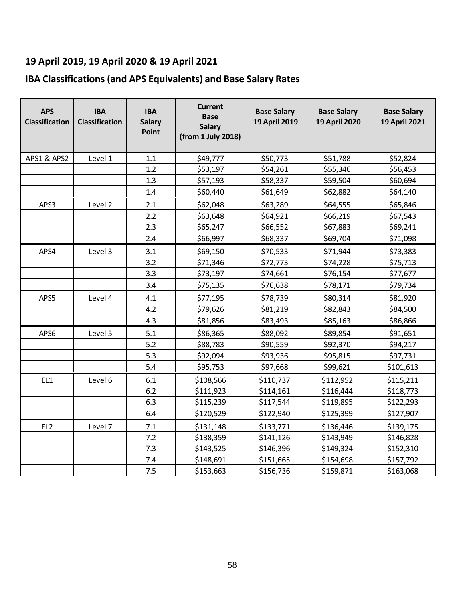## **19 April 2019, 19 April 2020 & 19 April 2021**

## **IBA Classifications (and APS Equivalents) and Base Salary Rates**

| <b>APS</b><br><b>Classification</b> | <b>IBA</b><br><b>Classification</b> | <b>IBA</b><br><b>Salary</b><br>Point | <b>Current</b><br><b>Base</b><br><b>Salary</b><br>(from 1 July 2018) | <b>Base Salary</b><br>19 April 2019 | <b>Base Salary</b><br>19 April 2020 | <b>Base Salary</b><br>19 April 2021 |
|-------------------------------------|-------------------------------------|--------------------------------------|----------------------------------------------------------------------|-------------------------------------|-------------------------------------|-------------------------------------|
| APS1 & APS2                         | Level 1                             | 1.1                                  | \$49,777                                                             | \$50,773                            | \$51,788                            | \$52,824                            |
|                                     |                                     | 1.2                                  | \$53,197                                                             | \$54,261                            | \$55,346                            | \$56,453                            |
|                                     |                                     | 1.3                                  | \$57,193                                                             | \$58,337                            | \$59,504                            | \$60,694                            |
|                                     |                                     | 1.4                                  | \$60,440                                                             | \$61,649                            | \$62,882                            | \$64,140                            |
| APS3                                | Level 2                             | 2.1                                  | \$62,048                                                             | \$63,289                            | \$64,555                            | \$65,846                            |
|                                     |                                     | 2.2                                  | \$63,648                                                             | \$64,921                            | \$66,219                            | \$67,543                            |
|                                     |                                     | 2.3                                  | \$65,247                                                             | \$66,552                            | \$67,883                            | \$69,241                            |
|                                     |                                     | 2.4                                  | \$66,997                                                             | \$68,337                            | \$69,704                            | \$71,098                            |
| APS4                                | Level 3                             | 3.1                                  | \$69,150                                                             | \$70,533                            | \$71,944                            | \$73,383                            |
|                                     |                                     | 3.2                                  | \$71,346                                                             | \$72,773                            | \$74,228                            | \$75,713                            |
|                                     |                                     | 3.3                                  | \$73,197                                                             | \$74,661                            | \$76,154                            | \$77,677                            |
|                                     |                                     | 3.4                                  | \$75,135                                                             | \$76,638                            | \$78,171                            | \$79,734                            |
| APS5                                | Level 4                             | 4.1                                  | \$77,195                                                             | \$78,739                            | \$80,314                            | \$81,920                            |
|                                     |                                     | 4.2                                  | \$79,626                                                             | \$81,219                            | \$82,843                            | \$84,500                            |
|                                     |                                     | 4.3                                  | \$81,856                                                             | \$83,493                            | \$85,163                            | \$86,866                            |
| APS6                                | Level 5                             | 5.1                                  | \$86,365                                                             | \$88,092                            | \$89,854                            | \$91,651                            |
|                                     |                                     | 5.2                                  | \$88,783                                                             | \$90,559                            | \$92,370                            | \$94,217                            |
|                                     |                                     | 5.3                                  | \$92,094                                                             | \$93,936                            | \$95,815                            | \$97,731                            |
|                                     |                                     | 5.4                                  | \$95,753                                                             | \$97,668                            | \$99,621                            | \$101,613                           |
| EL1                                 | Level 6                             | 6.1                                  | \$108,566                                                            | \$110,737                           | \$112,952                           | \$115,211                           |
|                                     |                                     | 6.2                                  | \$111,923                                                            | \$114,161                           | \$116,444                           | \$118,773                           |
|                                     |                                     | 6.3                                  | \$115,239                                                            | \$117,544                           | \$119,895                           | \$122,293                           |
|                                     |                                     | 6.4                                  | \$120,529                                                            | \$122,940                           | \$125,399                           | \$127,907                           |
| EL <sub>2</sub>                     | Level 7                             | 7.1                                  | \$131,148                                                            | \$133,771                           | \$136,446                           | \$139,175                           |
|                                     |                                     | 7.2                                  | \$138,359                                                            | \$141,126                           | \$143,949                           | \$146,828                           |
|                                     |                                     | 7.3                                  | \$143,525                                                            | \$146,396                           | \$149,324                           | \$152,310                           |
|                                     |                                     | 7.4                                  | \$148,691                                                            | \$151,665                           | \$154,698                           | \$157,792                           |
|                                     |                                     | 7.5                                  | \$153,663                                                            | \$156,736                           | \$159,871                           | \$163,068                           |